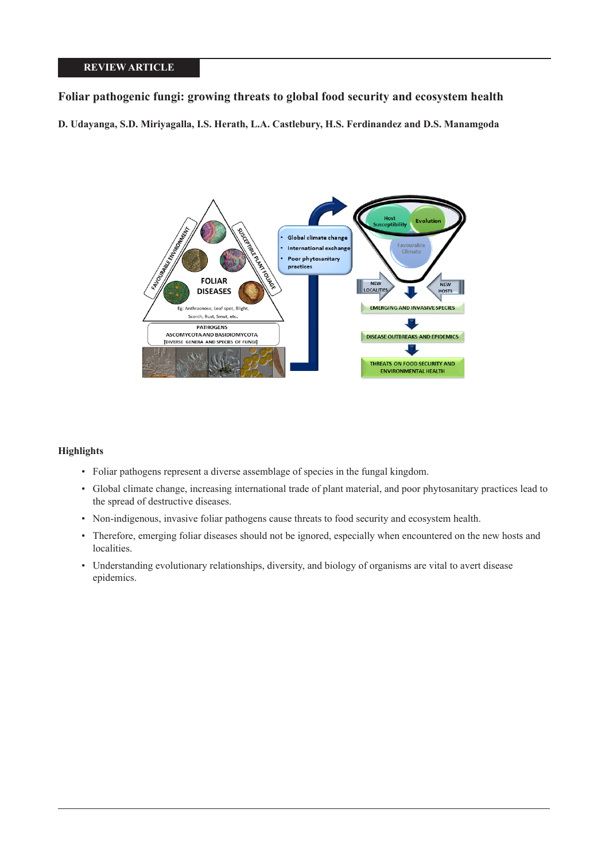# **REVIEW ARTICLE**

# **Foliar pathogenic fungi: growing threats to global food security and ecosystem health**

**D. Udayanga, S.D. Miriyagalla, I.S. Herath, L.A. Castlebury, H.S. Ferdinandez and D.S. Manamgoda**



# **Highlights**

- Foliar pathogens represent a diverse assemblage of species in the fungal kingdom.
- Global climate change, increasing international trade of plant material, and poor phytosanitary practices lead to the spread of destructive diseases.
- Non-indigenous, invasive foliar pathogens cause threats to food security and ecosystem health.
- Therefore, emerging foliar diseases should not be ignored, especially when encountered on the new hosts and localities.
- Understanding evolutionary relationships, diversity, and biology of organisms are vital to avert disease epidemics.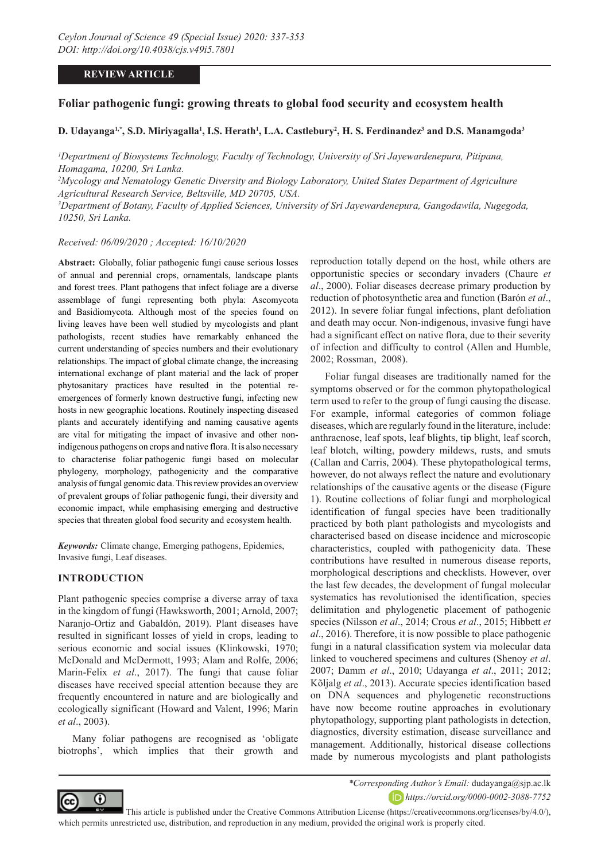# **REVIEW ARTICLE**

# **Foliar pathogenic fungi: growing threats to global food security and ecosystem health**

# **D. Udayanga1,\*, S.D. Miriyagalla1 , I.S. Herath1 , L.A. Castlebury2 , H. S. Ferdinandez3 and D.S. Manamgoda3**

*1 Department of Biosystems Technology, Faculty of Technology, University of Sri Jayewardenepura, Pitipana, Homagama, 10200, Sri Lanka.*

*2 Mycology and Nematology Genetic Diversity and Biology Laboratory, United States Department of Agriculture Agricultural Research Service, Beltsville, MD 20705, USA.*

*3 Department of Botany, Faculty of Applied Sciences, University of Sri Jayewardenepura, Gangodawila, Nugegoda, 10250, Sri Lanka.*

*Received: 06/09/2020 ; Accepted: 16/10/2020*

**Abstract:** Globally, foliar pathogenic fungi cause serious losses of annual and perennial crops, ornamentals, landscape plants and forest trees. Plant pathogens that infect foliage are a diverse assemblage of fungi representing both phyla: Ascomycota and Basidiomycota. Although most of the species found on living leaves have been well studied by mycologists and plant pathologists, recent studies have remarkably enhanced the current understanding of species numbers and their evolutionary relationships. The impact of global climate change, the increasing international exchange of plant material and the lack of proper phytosanitary practices have resulted in the potential reemergences of formerly known destructive fungi, infecting new hosts in new geographic locations. Routinely inspecting diseased plants and accurately identifying and naming causative agents are vital for mitigating the impact of invasive and other nonindigenous pathogens on crops and native flora. It is also necessary to characterise foliar pathogenic fungi based on molecular phylogeny, morphology, pathogenicity and the comparative analysis of fungal genomic data. This review provides an overview of prevalent groups of foliar pathogenic fungi, their diversity and economic impact, while emphasising emerging and destructive species that threaten global food security and ecosystem health.

*Keywords:* Climate change, Emerging pathogens, Epidemics, Invasive fungi, Leaf diseases.

### **INTRODUCTION**

Plant pathogenic species comprise a diverse array of taxa in the kingdom of fungi (Hawksworth, 2001; Arnold, 2007; Naranjo-Ortiz and Gabaldón, 2019). Plant diseases have resulted in significant losses of yield in crops, leading to serious economic and social issues (Klinkowski, 1970; McDonald and McDermott, 1993; Alam and Rolfe, 2006; Marin-Felix *et al*., 2017). The fungi that cause foliar diseases have received special attention because they are frequently encountered in nature and are biologically and ecologically significant (Howard and Valent, 1996; Marin *et al*., 2003).

Many foliar pathogens are recognised as 'obligate biotrophs', which implies that their growth and reproduction totally depend on the host, while others are opportunistic species or secondary invaders (Chaure *et al*., 2000). Foliar diseases decrease primary production by reduction of photosynthetic area and function (Barón *et al*., 2012). In severe foliar fungal infections, plant defoliation and death may occur. Non-indigenous, invasive fungi have had a significant effect on native flora, due to their severity of infection and difficulty to control (Allen and Humble, 2002; Rossman, 2008).

Foliar fungal diseases are traditionally named for the symptoms observed or for the common phytopathological term used to refer to the group of fungi causing the disease. For example, informal categories of common foliage diseases, which are regularly found in the literature, include: anthracnose, leaf spots, leaf blights, tip blight, leaf scorch, leaf blotch, wilting, powdery mildews, rusts, and smuts (Callan and Carris, 2004). These phytopathological terms, however, do not always reflect the nature and evolutionary relationships of the causative agents or the disease (Figure 1). Routine collections of foliar fungi and morphological identification of fungal species have been traditionally practiced by both plant pathologists and mycologists and characterised based on disease incidence and microscopic characteristics, coupled with pathogenicity data. These contributions have resulted in numerous disease reports, morphological descriptions and checklists. However, over the last few decades, the development of fungal molecular systematics has revolutionised the identification, species delimitation and phylogenetic placement of pathogenic species (Nilsson *et al*., 2014; Crous *et al*., 2015; Hibbett *et al*., 2016). Therefore, it is now possible to place pathogenic fungi in a natural classification system via molecular data linked to vouchered specimens and cultures (Shenoy *et al*. 2007; Damm *et al*., 2010; Udayanga *et al*., 2011; 2012; Kõljalg *et al*., 2013). Accurate species identification based on DNA sequences and phylogenetic reconstructions have now become routine approaches in evolutionary phytopathology, supporting plant pathologists in detection, diagnostics, diversity estimation, disease surveillance and management. Additionally, historical disease collections made by numerous mycologists and plant pathologists



*\*Corresponding Author's Email:* dudayanga@sjp.ac.lk *https://orcid.org/0000-0002-3088-7752*

 This article is published under the Creative Commons Attribution License (https://creativecommons.org/licenses/by/4.0/), which permits unrestricted use, distribution, and reproduction in any medium, provided the original work is properly cited.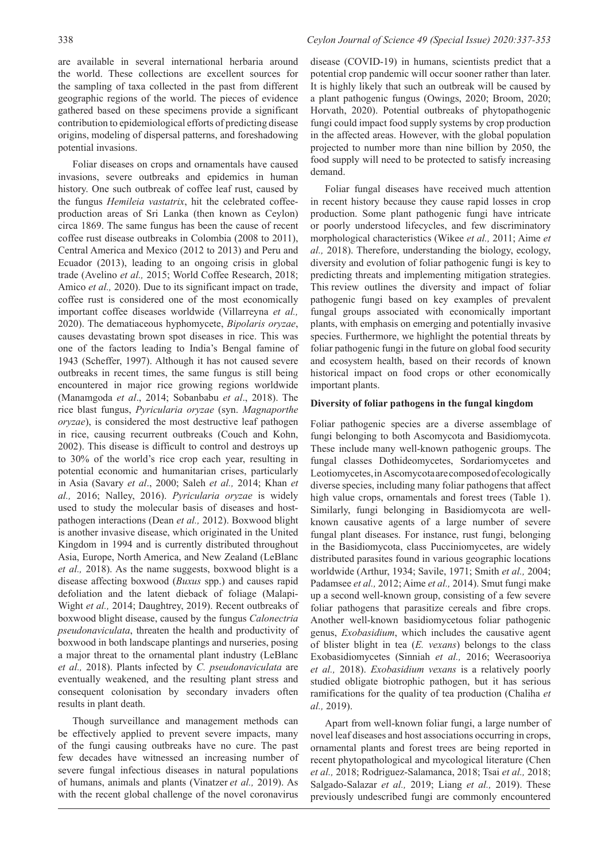are available in several international herbaria around the world. These collections are excellent sources for the sampling of taxa collected in the past from different geographic regions of the world. The pieces of evidence gathered based on these specimens provide a significant contribution to epidemiological efforts of predicting disease origins, modeling of dispersal patterns, and foreshadowing potential invasions.

Foliar diseases on crops and ornamentals have caused invasions, severe outbreaks and epidemics in human history. One such outbreak of coffee leaf rust, caused by the fungus *Hemileia vastatrix*, hit the celebrated coffeeproduction areas of Sri Lanka (then known as Ceylon) circa 1869. The same fungus has been the cause of recent coffee rust disease outbreaks in Colombia (2008 to 2011), Central America and Mexico (2012 to 2013) and Peru and Ecuador (2013), leading to an ongoing crisis in global trade (Avelino *et al.,* 2015; World Coffee Research, 2018; Amico *et al.,* 2020). Due to its significant impact on trade, coffee rust is considered one of the most economically important coffee diseases worldwide (Villarreyna *et al.,* 2020). The dematiaceous hyphomycete, *Bipolaris oryzae*, causes devastating brown spot diseases in rice. This was one of the factors leading to India's Bengal famine of 1943 (Scheffer, 1997). Although it has not caused severe outbreaks in recent times, the same fungus is still being encountered in major rice growing regions worldwide (Manamgoda *et al*., 2014; Sobanbabu *et al*., 2018). The rice blast fungus, *Pyricularia oryzae* (syn. *Magnaporthe oryzae*), is considered the most destructive leaf pathogen in rice, causing recurrent outbreaks (Couch and Kohn, 2002). This disease is difficult to control and destroys up to 30% of the world's rice crop each year, resulting in potential economic and humanitarian crises, particularly in Asia (Savary *et al*., 2000; Saleh *et al.,* 2014; Khan *et al.,* 2016; Nalley, 2016). *Pyricularia oryzae* is widely used to study the molecular basis of diseases and hostpathogen interactions (Dean *et al.,* 2012). Boxwood blight is another invasive disease, which originated in the United Kingdom in 1994 and is currently distributed throughout Asia, Europe, North America, and New Zealand (LeBlanc *et al.,* 2018). As the name suggests, boxwood blight is a disease affecting boxwood (*Buxus* spp.) and causes rapid defoliation and the latent dieback of foliage (Malapi-Wight *et al.,* 2014; Daughtrey, 2019). Recent outbreaks of boxwood blight disease, caused by the fungus *Calonectria pseudonaviculata*, threaten the health and productivity of boxwood in both landscape plantings and nurseries, posing a major threat to the ornamental plant industry (LeBlanc *et al.,* 2018). Plants infected by *C. pseudonaviculata* are eventually weakened, and the resulting plant stress and consequent colonisation by secondary invaders often results in plant death.

Though surveillance and management methods can be effectively applied to prevent severe impacts, many of the fungi causing outbreaks have no cure. The past few decades have witnessed an increasing number of severe fungal infectious diseases in natural populations of humans, animals and plants (Vinatzer *et al.,* 2019). As with the recent global challenge of the novel coronavirus

# 338 *Ceylon Journal of Science 49 (Special Issue) 2020:337-353*

disease (COVID-19) in humans, scientists predict that a potential crop pandemic will occur sooner rather than later. It is highly likely that such an outbreak will be caused by a plant pathogenic fungus (Owings, 2020; Broom, 2020; Horvath, 2020). Potential outbreaks of phytopathogenic fungi could impact food supply systems by crop production in the affected areas. However, with the global population projected to number more than nine billion by 2050, the food supply will need to be protected to satisfy increasing demand.

Foliar fungal diseases have received much attention in recent history because they cause rapid losses in crop production. Some plant pathogenic fungi have intricate or poorly understood lifecycles, and few discriminatory morphological characteristics (Wikee *et al.,* 2011; Aime *et al.,* 2018). Therefore, understanding the biology, ecology, diversity and evolution of foliar pathogenic fungi is key to predicting threats and implementing mitigation strategies. This review outlines the diversity and impact of foliar pathogenic fungi based on key examples of prevalent fungal groups associated with economically important plants, with emphasis on emerging and potentially invasive species. Furthermore, we highlight the potential threats by foliar pathogenic fungi in the future on global food security and ecosystem health, based on their records of known historical impact on food crops or other economically important plants.

#### **Diversity of foliar pathogens in the fungal kingdom**

Foliar pathogenic species are a diverse assemblage of fungi belonging to both Ascomycota and Basidiomycota. These include many well-known pathogenic groups. The fungal classes Dothideomycetes, Sordariomycetes and Leotiomycetes, in Ascomycota are composed of ecologically diverse species, including many foliar pathogens that affect high value crops, ornamentals and forest trees (Table 1). Similarly, fungi belonging in Basidiomycota are wellknown causative agents of a large number of severe fungal plant diseases. For instance, rust fungi, belonging in the Basidiomycota, class Pucciniomycetes, are widely distributed parasites found in various geographic locations worldwide (Arthur, 1934; Savile, 1971; Smith *et al.,* 2004; Padamsee *et al.,* 2012; Aime *et al.,* 2014). Smut fungi make up a second well-known group, consisting of a few severe foliar pathogens that parasitize cereals and fibre crops. Another well-known basidiomycetous foliar pathogenic genus, *Exobasidium*, which includes the causative agent of blister blight in tea (*E. vexans*) belongs to the class Exobasidiomycetes (Sinniah *et al.,* 2016; Weerasooriya *et al.,* 2018). *Exobasidium vexans* is a relatively poorly studied obligate biotrophic pathogen, but it has serious ramifications for the quality of tea production (Chaliha *et al.,* 2019).

Apart from well-known foliar fungi, a large number of novel leaf diseases and host associations occurring in crops, ornamental plants and forest trees are being reported in recent phytopathological and mycological literature (Chen *et al.,* 2018; Rodriguez-Salamanca, 2018; Tsai *et al.,* 2018; Salgado-Salazar *et al.,* 2019; Liang *et al.,* 2019). These previously undescribed fungi are commonly encountered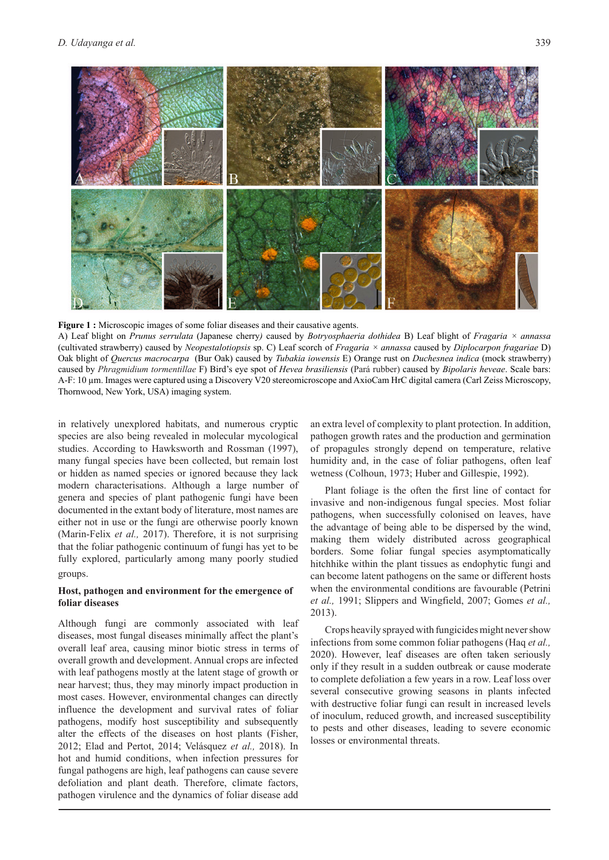

**Figure 1 :** Microscopic images of some foliar diseases and their causative agents. A) Leaf blight on *Prunus serrulata* (Japanese cherry*)* caused by *Botryosphaeria dothidea* B) Leaf blight of *Fragaria × annassa* 

(cultivated strawberry) caused by *Neopestalotiopsis* sp. C) Leaf scorch of *Fragaria × annassa* caused by *Diplocarpon fragariae* D) Oak blight of *Quercus macrocarpa* (Bur Oak) caused by *Tubakia iowensis* E) Orange rust on *Duchesnea indica* (mock strawberry) caused by *Phragmidium tormentillae* F) Bird's eye spot of *Hevea brasiliensis* (Pará rubber) caused by *Bipolaris heveae*. Scale bars: A-F: 10 µm. Images were captured using a Discovery V20 stereomicroscope and AxioCam HrC digital camera (Carl Zeiss Microscopy, Thornwood, New York, USA) imaging system.

in relatively unexplored habitats, and numerous cryptic species are also being revealed in molecular mycological studies. According to Hawksworth and Rossman (1997), many fungal species have been collected, but remain lost or hidden as named species or ignored because they lack modern characterisations. Although a large number of genera and species of plant pathogenic fungi have been documented in the extant body of literature, most names are either not in use or the fungi are otherwise poorly known (Marin-Felix *et al.,* 2017). Therefore, it is not surprising that the foliar pathogenic continuum of fungi has yet to be fully explored, particularly among many poorly studied groups.

# **Host, pathogen and environment for the emergence of foliar diseases**

Although fungi are commonly associated with leaf diseases, most fungal diseases minimally affect the plant's overall leaf area, causing minor biotic stress in terms of overall growth and development. Annual crops are infected with leaf pathogens mostly at the latent stage of growth or near harvest; thus, they may minorly impact production in most cases. However, environmental changes can directly influence the development and survival rates of foliar pathogens, modify host susceptibility and subsequently alter the effects of the diseases on host plants (Fisher, 2012; Elad and Pertot, 2014; Velásquez *et al.,* 2018). In hot and humid conditions, when infection pressures for fungal pathogens are high, leaf pathogens can cause severe defoliation and plant death. Therefore, climate factors, pathogen virulence and the dynamics of foliar disease add

an extra level of complexity to plant protection. In addition, pathogen growth rates and the production and germination of propagules strongly depend on temperature, relative humidity and, in the case of foliar pathogens, often leaf wetness (Colhoun, 1973; Huber and Gillespie, 1992).

Plant foliage is the often the first line of contact for invasive and non-indigenous fungal species. Most foliar pathogens, when successfully colonised on leaves, have the advantage of being able to be dispersed by the wind, making them widely distributed across geographical borders. Some foliar fungal species asymptomatically hitchhike within the plant tissues as endophytic fungi and can become latent pathogens on the same or different hosts when the environmental conditions are favourable (Petrini *et al.,* 1991; Slippers and Wingfield, 2007; Gomes *et al.,* 2013).

Crops heavily sprayed with fungicides might never show infections from some common foliar pathogens (Haq *et al.,* 2020). However, leaf diseases are often taken seriously only if they result in a sudden outbreak or cause moderate to complete defoliation a few years in a row. Leaf loss over several consecutive growing seasons in plants infected with destructive foliar fungi can result in increased levels of inoculum, reduced growth, and increased susceptibility to pests and other diseases, leading to severe economic losses or environmental threats.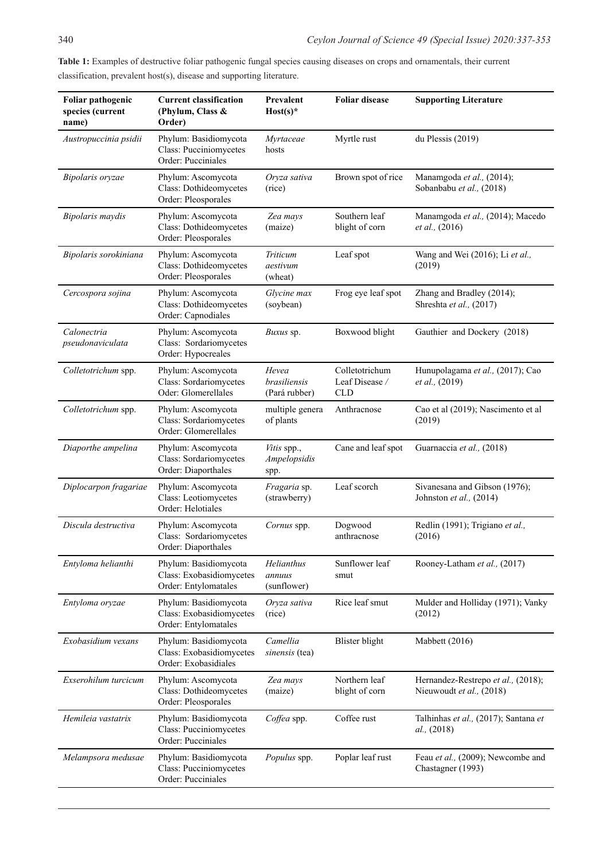| Foliar pathogenic<br>species (current<br>name) | <b>Current classification</b><br>(Phylum, Class &<br>Order)               | Prevalent<br>$Host(s)*$                | <b>Foliar disease</b>                          | <b>Supporting Literature</b>                                   |
|------------------------------------------------|---------------------------------------------------------------------------|----------------------------------------|------------------------------------------------|----------------------------------------------------------------|
| Austropuccinia psidii                          | Phylum: Basidiomycota<br>Class: Pucciniomycetes<br>Order: Pucciniales     | Myrtaceae<br>hosts                     | Myrtle rust                                    | du Plessis (2019)                                              |
| Bipolaris oryzae                               | Phylum: Ascomycota<br>Class: Dothideomycetes<br>Order: Pleosporales       | Oryza sativa<br>(rice)                 | Brown spot of rice                             | Manamgoda et al., (2014);<br>Sobanbabu et al., (2018)          |
| Bipolaris maydis                               | Phylum: Ascomycota<br>Class: Dothideomycetes<br>Order: Pleosporales       | Zea mays<br>(maize)                    | Southern leaf<br>blight of corn                | Manamgoda et al., (2014); Macedo<br><i>et al.</i> , (2016)     |
| Bipolaris sorokiniana                          | Phylum: Ascomycota<br>Class: Dothideomycetes<br>Order: Pleosporales       | Triticum<br>aestivum<br>(wheat)        | Leaf spot                                      | Wang and Wei (2016); Li et al.,<br>(2019)                      |
| Cercospora sojina                              | Phylum: Ascomycota<br>Class: Dothideomycetes<br>Order: Capnodiales        | Glycine max<br>(soybean)               | Frog eye leaf spot                             | Zhang and Bradley (2014);<br>Shreshta et al., (2017)           |
| Calonectria<br>pseudonaviculata                | Phylum: Ascomycota<br>Class: Sordariomycetes<br>Order: Hypocreales        | Buxus sp.                              | Boxwood blight                                 | Gauthier and Dockery (2018)                                    |
| Colletotrichum spp.                            | Phylum: Ascomycota<br>Class: Sordariomycetes<br>Oder: Glomerellales       | Hevea<br>brasiliensis<br>(Pará rubber) | Colletotrichum<br>Leaf Disease /<br><b>CLD</b> | Hunupolagama et al., (2017); Cao<br>et al., (2019)             |
| Colletotrichum spp.                            | Phylum: Ascomycota<br>Class: Sordariomycetes<br>Order: Glomerellales      | multiple genera<br>of plants           | Anthracnose                                    | Cao et al (2019); Nascimento et al<br>(2019)                   |
| Diaporthe ampelina                             | Phylum: Ascomycota<br>Class: Sordariomycetes<br>Order: Diaporthales       | Vitis spp.,<br>Ampelopsidis<br>spp.    | Cane and leaf spot                             | Guarnaccia et al., (2018)                                      |
| Diplocarpon fragariae                          | Phylum: Ascomycota<br>Class: Leotiomycetes<br>Order: Helotiales           | Fragaria sp.<br>(strawberry)           | Leaf scorch                                    | Sivanesana and Gibson (1976);<br>Johnston et al., (2014)       |
| Discula destructiva                            | Phylum: Ascomycota<br>Class: Sordariomycetes<br>Order: Diaporthales       | Cornus spp.                            | Dogwood<br>anthracnose                         | Redlin (1991); Trigiano et al.,<br>(2016)                      |
| Entyloma helianthi                             | Phylum: Basidiomycota<br>Class: Exobasidiomycetes<br>Order: Entylomatales | Helianthus<br>annuus<br>(sunflower)    | Sunflower leaf<br>smut                         | Rooney-Latham et al., (2017)                                   |
| Entyloma oryzae                                | Phylum: Basidiomycota<br>Class: Exobasidiomycetes<br>Order: Entylomatales | Oryza sativa<br>(rice)                 | Rice leaf smut                                 | Mulder and Holliday (1971); Vanky<br>(2012)                    |
| Exobasidium vexans                             | Phylum: Basidiomycota<br>Class: Exobasidiomycetes<br>Order: Exobasidiales | Camellia<br>sinensis (tea)             | <b>Blister</b> blight                          | Mabbett (2016)                                                 |
| Exserohilum turcicum                           | Phylum: Ascomycota<br>Class: Dothideomycetes<br>Order: Pleosporales       | Zea mays<br>(maize)                    | Northern leaf<br>blight of corn                | Hernandez-Restrepo et al., (2018);<br>Nieuwoudt et al., (2018) |
| Hemileia vastatrix                             | Phylum: Basidiomycota<br>Class: Pucciniomycetes<br>Order: Pucciniales     | Coffea spp.                            | Coffee rust                                    | Talhinhas et al., (2017); Santana et<br><i>al.,</i> (2018)     |
| Melampsora medusae                             | Phylum: Basidiomycota<br>Class: Pucciniomycetes<br>Order: Pucciniales     | Populus spp.                           | Poplar leaf rust                               | Feau et al., (2009); Newcombe and<br>Chastagner (1993)         |

Table 1: Examples of destructive foliar pathogenic fungal species causing diseases on crops and ornamentals, their current classification, prevalent host(s), disease and supporting literature.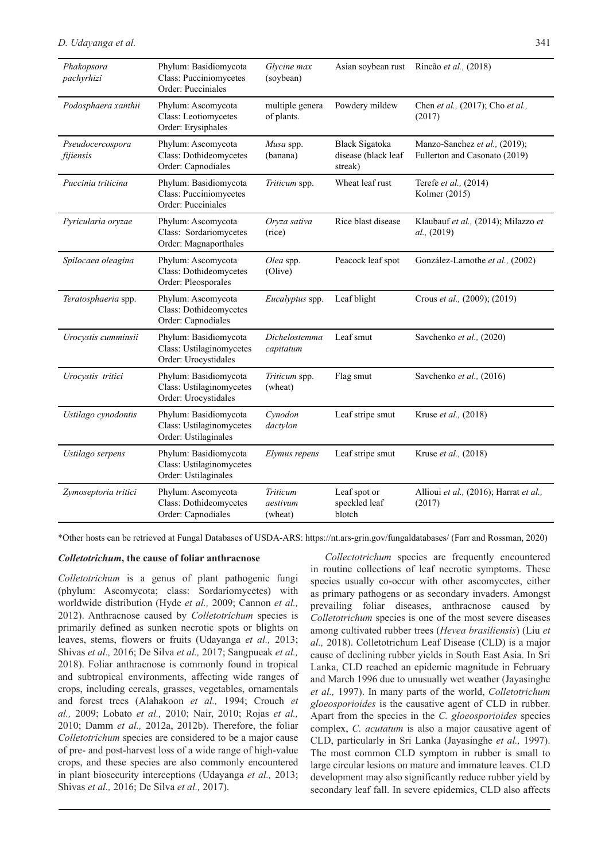| Phakopsora<br>pachyrhizi      | Phylum: Basidiomycota<br><b>Class: Pucciniomycetes</b><br>Order: Pucciniales | Glycine max<br>(soybean)        | Asian soybean rust                               | Rincão et al., (2018)                                          |
|-------------------------------|------------------------------------------------------------------------------|---------------------------------|--------------------------------------------------|----------------------------------------------------------------|
| Podosphaera xanthii           | Phylum: Ascomycota<br>Class: Leotiomycetes<br>Order: Erysiphales             | multiple genera<br>of plants.   | Powdery mildew                                   | Chen et al., (2017); Cho et al.,<br>(2017)                     |
| Pseudocercospora<br>fijiensis | Phylum: Ascomycota<br>Class: Dothideomycetes<br>Order: Capnodiales           | Musa spp.<br>(banana)           | Black Sigatoka<br>disease (black leaf<br>streak) | Manzo-Sanchez et al., (2019);<br>Fullerton and Casonato (2019) |
| Puccinia triticina            | Phylum: Basidiomycota<br>Class: Pucciniomycetes<br>Order: Pucciniales        | Triticum spp.                   | Wheat leaf rust                                  | Terefe et al., (2014)<br>Kolmer (2015)                         |
| Pyricularia oryzae            | Phylum: Ascomycota<br>Class: Sordariomycetes<br>Order: Magnaporthales        | Oryza sativa<br>(rice)          | Rice blast disease                               | Klaubauf et al., (2014); Milazzo et<br>al., (2019)             |
| Spilocaea oleagina            | Phylum: Ascomycota<br>Class: Dothideomycetes<br>Order: Pleosporales          | Olea spp.<br>(Olive)            | Peacock leaf spot                                | González-Lamothe et al., (2002)                                |
| Teratosphaeria spp.           | Phylum: Ascomycota<br>Class: Dothideomycetes<br>Order: Capnodiales           | Eucalyptus spp.                 | Leaf blight                                      | Crous et al., (2009); (2019)                                   |
| Urocystis cumminsii           | Phylum: Basidiomycota<br>Class: Ustilaginomycetes<br>Order: Urocystidales    | Dichelostemma<br>capitatum      | Leaf smut                                        | Savchenko et al., (2020)                                       |
| Urocystis tritici             | Phylum: Basidiomycota<br>Class: Ustilaginomycetes<br>Order: Urocystidales    | Triticum spp.<br>(wheat)        | Flag smut                                        | Savchenko et al., (2016)                                       |
| Ustilago cynodontis           | Phylum: Basidiomycota<br>Class: Ustilaginomycetes<br>Order: Ustilaginales    | Cynodon<br>dactylon             | Leaf stripe smut                                 | Kruse et al., (2018)                                           |
| Ustilago serpens              | Phylum: Basidiomycota<br>Class: Ustilaginomycetes<br>Order: Ustilaginales    | Elymus repens                   | Leaf stripe smut                                 | Kruse et al., (2018)                                           |
| Zymoseptoria tritici          | Phylum: Ascomycota<br>Class: Dothideomycetes<br>Order: Capnodiales           | Triticum<br>aestivum<br>(wheat) | Leaf spot or<br>speckled leaf<br>blotch          | Allioui et al., (2016); Harrat et al.,<br>(2017)               |

\*Other hosts can be retrieved at Fungal Databases of USDA-ARS: https://nt.ars-grin.gov/fungaldatabases/ (Farr and Rossman, 2020)

#### *Colletotrichum***, the cause of foliar anthracnose**

*Colletotrichum* is a genus of plant pathogenic fungi (phylum: Ascomycota; class: Sordariomycetes) with worldwide distribution (Hyde *et al.,* 2009; Cannon *et al.,* 2012). Anthracnose caused by *Colletotrichum* species is primarily defined as sunken necrotic spots or blights on leaves, stems, flowers or fruits (Udayanga *et al.,* 2013; Shivas *et al.,* 2016; De Silva *et al.,* 2017; Sangpueak *et al.,* 2018). Foliar anthracnose is commonly found in tropical and subtropical environments, affecting wide ranges of crops, including cereals, grasses, vegetables, ornamentals and forest trees (Alahakoon *et al.,* 1994; Crouch *et al.,* 2009; Lobato *et al.,* 2010; Nair, 2010; Rojas *et al.,* 2010; Damm *et al.,* 2012a, 2012b). Therefore, the foliar *Colletotrichum* species are considered to be a major cause of pre- and post-harvest loss of a wide range of high-value crops, and these species are also commonly encountered in plant biosecurity interceptions (Udayanga *et al.,* 2013; Shivas *et al.,* 2016; De Silva *et al.,* 2017).

*Collectotrichum* species are frequently encountered in routine collections of leaf necrotic symptoms. These species usually co-occur with other ascomycetes, either as primary pathogens or as secondary invaders. Amongst prevailing foliar diseases, anthracnose caused by *Colletotrichum* species is one of the most severe diseases among cultivated rubber trees (*Hevea brasiliensis*) (Liu *et al.,* 2018). Colletotrichum Leaf Disease (CLD) is a major cause of declining rubber yields in South East Asia. In Sri Lanka, CLD reached an epidemic magnitude in February and March 1996 due to unusually wet weather (Jayasinghe *et al.,* 1997). In many parts of the world, *Colletotrichum gloeosporioides* is the causative agent of CLD in rubber. Apart from the species in the *C. gloeosporioides* species complex, *C. acutatum* is also a major causative agent of CLD, particularly in Sri Lanka (Jayasinghe *et al.,* 1997). The most common CLD symptom in rubber is small to large circular lesions on mature and immature leaves. CLD development may also significantly reduce rubber yield by secondary leaf fall. In severe epidemics, CLD also affects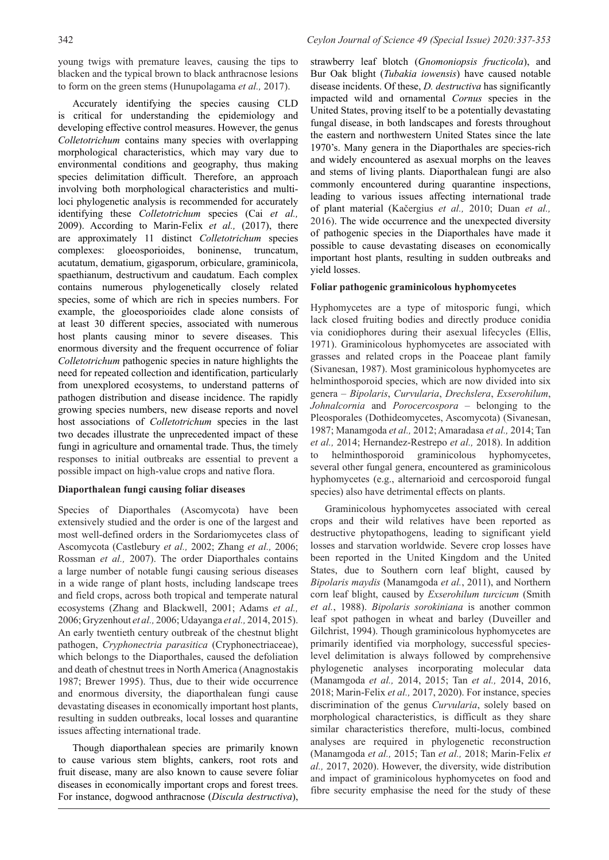young twigs with premature leaves, causing the tips to blacken and the typical brown to black anthracnose lesions to form on the green stems (Hunupolagama *et al.,* 2017).

Accurately identifying the species causing CLD is critical for understanding the epidemiology and developing effective control measures. However, the genus *Colletotrichum* contains many species with overlapping morphological characteristics, which may vary due to environmental conditions and geography, thus making species delimitation difficult. Therefore, an approach involving both morphological characteristics and multiloci phylogenetic analysis is recommended for accurately identifying these *Colletotrichum* species (Cai *et al.,* 2009). According to Marin-Felix *et al.,* (2017), there are approximately 11 distinct *Colletotrichum* species complexes: gloeosporioides, boninense, truncatum, acutatum, dematium, gigasporum, orbiculare, graminicola, spaethianum, destructivum and caudatum. Each complex contains numerous phylogenetically closely related species, some of which are rich in species numbers. For example, the gloeosporioides clade alone consists of at least 30 different species, associated with numerous host plants causing minor to severe diseases. This enormous diversity and the frequent occurrence of foliar *Colletotrichum* pathogenic species in nature highlights the need for repeated collection and identification, particularly from unexplored ecosystems, to understand patterns of pathogen distribution and disease incidence. The rapidly growing species numbers, new disease reports and novel host associations of *Colletotrichum* species in the last two decades illustrate the unprecedented impact of these fungi in agriculture and ornamental trade. Thus, the timely responses to initial outbreaks are essential to prevent a possible impact on high-value crops and native flora.

# **Diaporthalean fungi causing foliar diseases**

Species of Diaporthales (Ascomycota) have been extensively studied and the order is one of the largest and most well-defined orders in the Sordariomycetes class of Ascomycota (Castlebury *et al.,* 2002; Zhang *et al.,* 2006; Rossman *et al.,* 2007). The order Diaporthales contains a large number of notable fungi causing serious diseases in a wide range of plant hosts, including landscape trees and field crops, across both tropical and temperate natural ecosystems (Zhang and Blackwell, 2001; Adams *et al.,* 2006; Gryzenhout *et al.,* 2006; Udayanga *et al.,* 2014, 2015). An early twentieth century outbreak of the chestnut blight pathogen, *Cryphonectria parasitica* (Cryphonectriaceae), which belongs to the Diaporthales, caused the defoliation and death of chestnut trees in North America (Anagnostakis 1987; Brewer 1995). Thus, due to their wide occurrence and enormous diversity, the diaporthalean fungi cause devastating diseases in economically important host plants, resulting in sudden outbreaks, local losses and quarantine issues affecting international trade.

Though diaporthalean species are primarily known to cause various stem blights, cankers, root rots and fruit disease, many are also known to cause severe foliar diseases in economically important crops and forest trees. For instance, dogwood anthracnose (*Discula destructiva*),

strawberry leaf blotch (*Gnomoniopsis fructicola*), and Bur Oak blight (*Tubakia iowensis*) have caused notable disease incidents. Of these, *D. destructiva* has significantly impacted wild and ornamental *Cornus* species in the United States, proving itself to be a potentially devastating fungal disease, in both landscapes and forests throughout the eastern and northwestern United States since the late 1970's. Many genera in the Diaporthales are species-rich and widely encountered as asexual morphs on the leaves and stems of living plants. Diaporthalean fungi are also commonly encountered during quarantine inspections, leading to various issues affecting international trade of plant material (Kačergius *et al.,* 2010; Duan *et al.,* 2016). The wide occurrence and the unexpected diversity of pathogenic species in the Diaporthales have made it possible to cause devastating diseases on economically important host plants, resulting in sudden outbreaks and yield losses.

## **Foliar pathogenic graminicolous hyphomycetes**

Hyphomycetes are a type of mitosporic fungi, which lack closed fruiting bodies and directly produce conidia via conidiophores during their asexual lifecycles (Ellis, 1971). Graminicolous hyphomycetes are associated with grasses and related crops in the Poaceae plant family (Sivanesan, 1987). Most graminicolous hyphomycetes are helminthosporoid species, which are now divided into six genera – *Bipolaris*, *Curvularia*, *Drechslera*, *Exserohilum*, *Johnalcornia* and *Porocercospora* – belonging to the Pleosporales (Dothideomycetes, Ascomycota) (Sivanesan, 1987; Manamgoda *et al.,* 2012; Amaradasa *et al.,* 2014; Tan *et al.,* 2014; Hernandez-Restrepo *et al.,* 2018). In addition to helminthosporoid graminicolous hyphomycetes, several other fungal genera, encountered as graminicolous hyphomycetes (e.g., alternarioid and cercosporoid fungal species) also have detrimental effects on plants.

Graminicolous hyphomycetes associated with cereal crops and their wild relatives have been reported as destructive phytopathogens, leading to significant yield losses and starvation worldwide. Severe crop losses have been reported in the United Kingdom and the United States, due to Southern corn leaf blight, caused by *Bipolaris maydis* (Manamgoda *et al.*, 2011), and Northern corn leaf blight, caused by *Exserohilum turcicum* (Smith *et al.*, 1988). *Bipolaris sorokiniana* is another common leaf spot pathogen in wheat and barley (Duveiller and Gilchrist, 1994). Though graminicolous hyphomycetes are primarily identified via morphology, successful specieslevel delimitation is always followed by comprehensive phylogenetic analyses incorporating molecular data (Manamgoda *et al.,* 2014, 2015; Tan *et al.,* 2014, 2016, 2018; Marin-Felix *et al.,* 2017, 2020). For instance, species discrimination of the genus *Curvularia*, solely based on morphological characteristics, is difficult as they share similar characteristics therefore, multi-locus, combined analyses are required in phylogenetic reconstruction (Manamgoda *et al.,* 2015; Tan *et al.,* 2018; Marin-Felix *et al.,* 2017, 2020). However, the diversity, wide distribution and impact of graminicolous hyphomycetes on food and fibre security emphasise the need for the study of these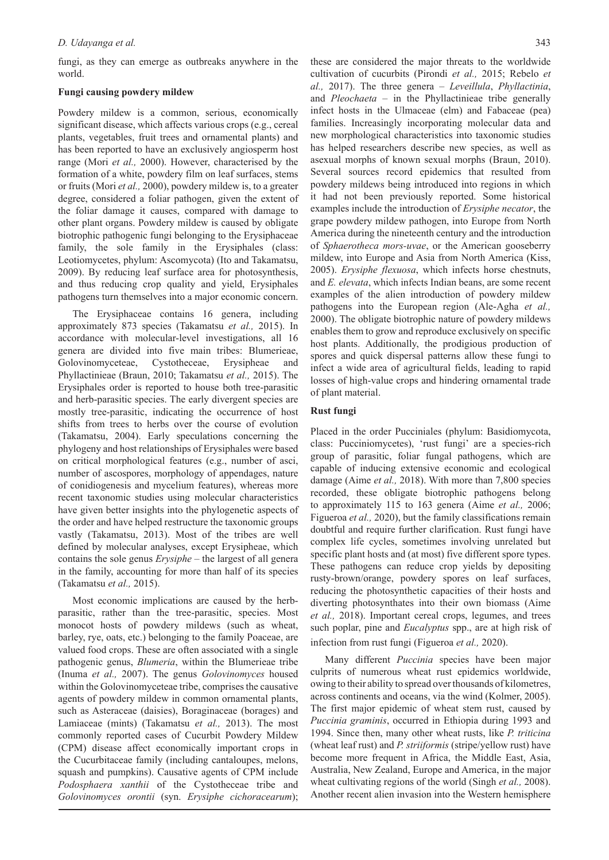fungi, as they can emerge as outbreaks anywhere in the world.

#### **Fungi causing powdery mildew**

Powdery mildew is a common, serious, economically significant disease, which affects various crops (e.g., cereal plants, vegetables, fruit trees and ornamental plants) and has been reported to have an exclusively angiosperm host range (Mori *et al.,* 2000). However, characterised by the formation of a white, powdery film on leaf surfaces, stems or fruits (Mori *et al.,* 2000), powdery mildew is, to a greater degree, considered a foliar pathogen, given the extent of the foliar damage it causes, compared with damage to other plant organs. Powdery mildew is caused by obligate biotrophic pathogenic fungi belonging to the Erysiphaceae family, the sole family in the Erysiphales (class: Leotiomycetes, phylum: Ascomycota) (Ito and Takamatsu, 2009). By reducing leaf surface area for photosynthesis, and thus reducing crop quality and yield, Erysiphales pathogens turn themselves into a major economic concern.

The Erysiphaceae contains 16 genera, including approximately 873 species (Takamatsu *et al.,* 2015). In accordance with molecular-level investigations, all 16 genera are divided into five main tribes: Blumerieae, Golovinomyceteae, Cystotheceae, Erysipheae and Phyllactinieae (Braun, 2010; Takamatsu *et al.,* 2015). The Erysiphales order is reported to house both tree-parasitic and herb-parasitic species. The early divergent species are mostly tree-parasitic, indicating the occurrence of host shifts from trees to herbs over the course of evolution (Takamatsu, 2004). Early speculations concerning the phylogeny and host relationships of Erysiphales were based on critical morphological features (e.g., number of asci, number of ascospores, morphology of appendages, nature of conidiogenesis and mycelium features), whereas more recent taxonomic studies using molecular characteristics have given better insights into the phylogenetic aspects of the order and have helped restructure the taxonomic groups vastly (Takamatsu, 2013). Most of the tribes are well defined by molecular analyses, except Erysipheae, which contains the sole genus *Erysiphe* – the largest of all genera in the family, accounting for more than half of its species (Takamatsu *et al.,* 2015).

Most economic implications are caused by the herbparasitic, rather than the tree-parasitic, species. Most monocot hosts of powdery mildews (such as wheat, barley, rye, oats, etc.) belonging to the family Poaceae, are valued food crops. These are often associated with a single pathogenic genus, *Blumeria*, within the Blumerieae tribe (Inuma *et al.,* 2007). The genus *Golovinomyces* housed within the Golovinomyceteae tribe, comprises the causative agents of powdery mildew in common ornamental plants, such as Asteraceae (daisies), Boraginaceae (borages) and Lamiaceae (mints) (Takamatsu *et al.,* 2013). The most commonly reported cases of Cucurbit Powdery Mildew (CPM) disease affect economically important crops in the Cucurbitaceae family (including cantaloupes, melons, squash and pumpkins). Causative agents of CPM include *Podosphaera xanthii* of the Cystotheceae tribe and *Golovinomyces orontii* (syn. *Erysiphe cichoracearum*);

these are considered the major threats to the worldwide cultivation of cucurbits (Pirondi *et al.,* 2015; Rebelo *et al.,* 2017). The three genera – *Leveillula*, *Phyllactinia*, and *Pleochaeta* – in the Phyllactinieae tribe generally infect hosts in the Ulmaceae (elm) and Fabaceae (pea) families. Increasingly incorporating molecular data and new morphological characteristics into taxonomic studies has helped researchers describe new species, as well as asexual morphs of known sexual morphs (Braun, 2010). Several sources record epidemics that resulted from powdery mildews being introduced into regions in which it had not been previously reported. Some historical examples include the introduction of *Erysiphe necator*, the grape powdery mildew pathogen, into Europe from North America during the nineteenth century and the introduction of *Sphaerotheca mors-uvae*, or the American gooseberry mildew, into Europe and Asia from North America (Kiss, 2005). *Erysiphe flexuosa*, which infects horse chestnuts, and *E. elevata*, which infects Indian beans, are some recent examples of the alien introduction of powdery mildew pathogens into the European region (Ale-Agha *et al.,* 2000). The obligate biotrophic nature of powdery mildews enables them to grow and reproduce exclusively on specific host plants. Additionally, the prodigious production of spores and quick dispersal patterns allow these fungi to infect a wide area of agricultural fields, leading to rapid losses of high-value crops and hindering ornamental trade of plant material.

### **Rust fungi**

Placed in the order Pucciniales (phylum: Basidiomycota, class: Pucciniomycetes), 'rust fungi' are a species-rich group of parasitic, foliar fungal pathogens, which are capable of inducing extensive economic and ecological damage (Aime *et al.,* 2018). With more than 7,800 species recorded, these obligate biotrophic pathogens belong to approximately 115 to 163 genera (Aime *et al.,* 2006; Figueroa *et al.,* 2020), but the family classifications remain doubtful and require further clarification. Rust fungi have complex life cycles, sometimes involving unrelated but specific plant hosts and (at most) five different spore types. These pathogens can reduce crop yields by depositing rusty-brown/orange, powdery spores on leaf surfaces, reducing the photosynthetic capacities of their hosts and diverting photosynthates into their own biomass (Aime *et al.,* 2018). Important cereal crops, legumes, and trees such poplar, pine and *Eucalyptus* spp., are at high risk of infection from rust fungi (Figueroa *et al.,* 2020).

Many different *Puccinia* species have been major culprits of numerous wheat rust epidemics worldwide, owing to their ability to spread over thousands of kilometres, across continents and oceans, via the wind (Kolmer, 2005). The first major epidemic of wheat stem rust, caused by *Puccinia graminis*, occurred in Ethiopia during 1993 and 1994. Since then, many other wheat rusts, like *P. triticina*  (wheat leaf rust) and *P. striiformis* (stripe/yellow rust) have become more frequent in Africa, the Middle East, Asia, Australia, New Zealand, Europe and America, in the major wheat cultivating regions of the world (Singh *et al.,* 2008). Another recent alien invasion into the Western hemisphere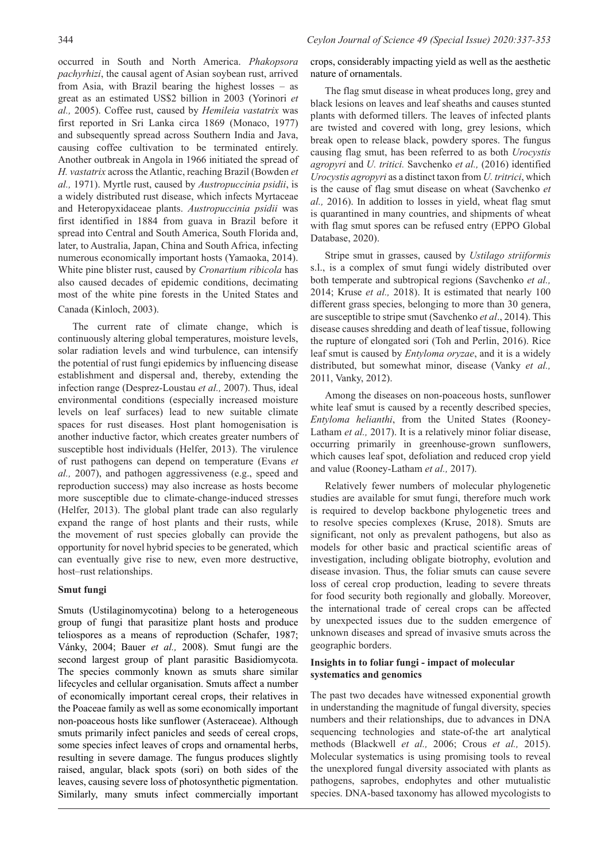occurred in South and North America. *Phakopsora pachyrhizi*, the causal agent of Asian soybean rust, arrived from Asia, with Brazil bearing the highest losses – as great as an estimated US\$2 billion in 2003 (Yorinori *et al.,* 2005). Coffee rust, caused by *Hemileia vastatrix* was first reported in Sri Lanka circa 1869 (Monaco, 1977) and subsequently spread across Southern India and Java, causing coffee cultivation to be terminated entirely. Another outbreak in Angola in 1966 initiated the spread of *H. vastatrix* across the Atlantic, reaching Brazil (Bowden *et al.,* 1971). Myrtle rust, caused by *Austropuccinia psidii*, is a widely distributed rust disease, which infects Myrtaceae and Heteropyxidaceae plants. *Austropuccinia psidii* was first identified in 1884 from guava in Brazil before it spread into Central and South America, South Florida and, later, to Australia, Japan, China and South Africa, infecting numerous economically important hosts (Yamaoka, 2014). White pine blister rust, caused by *Cronartium ribicola* has also caused decades of epidemic conditions, decimating most of the white pine forests in the United States and Canada (Kinloch, 2003).

The current rate of climate change, which is continuously altering global temperatures, moisture levels, solar radiation levels and wind turbulence, can intensify the potential of rust fungi epidemics by influencing disease establishment and dispersal and, thereby, extending the infection range (Desprez-Loustau *et al.,* 2007). Thus, ideal environmental conditions (especially increased moisture levels on leaf surfaces) lead to new suitable climate spaces for rust diseases. Host plant homogenisation is another inductive factor, which creates greater numbers of susceptible host individuals (Helfer, 2013). The virulence of rust pathogens can depend on temperature (Evans *et al.,* 2007), and pathogen aggressiveness (e.g., speed and reproduction success) may also increase as hosts become more susceptible due to climate-change-induced stresses (Helfer, 2013). The global plant trade can also regularly expand the range of host plants and their rusts, while the movement of rust species globally can provide the opportunity for novel hybrid species to be generated, which can eventually give rise to new, even more destructive, host–rust relationships.

### **Smut fungi**

Smuts (Ustilaginomycotina) belong to a heterogeneous group of fungi that parasitize plant hosts and produce teliospores as a means of reproduction (Schafer, 1987; Vánky, 2004; Bauer *et al.,* 2008). Smut fungi are the second largest group of plant parasitic Basidiomycota. The species commonly known as smuts share similar lifecycles and cellular organisation. Smuts affect a number of economically important cereal crops, their relatives in the Poaceae family as well as some economically important non-poaceous hosts like sunflower (Asteraceae). Although smuts primarily infect panicles and seeds of cereal crops, some species infect leaves of crops and ornamental herbs, resulting in severe damage. The fungus produces slightly raised, angular, black spots (sori) on both sides of the leaves, causing severe loss of photosynthetic pigmentation. Similarly, many smuts infect commercially important

crops, considerably impacting yield as well as the aesthetic nature of ornamentals.

The flag smut disease in wheat produces long, grey and black lesions on leaves and leaf sheaths and causes stunted plants with deformed tillers. The leaves of infected plants are twisted and covered with long, grey lesions, which break open to release black, powdery spores. The fungus causing flag smut, has been referred to as both *Urocystis agropyri* and *U. tritici.* Savchenko *et al.,* (2016) identified *Urocystis agropyri* as a distinct taxon from *U. tritrici*, which is the cause of flag smut disease on wheat (Savchenko *et al.,* 2016). In addition to losses in yield, wheat flag smut is quarantined in many countries, and shipments of wheat with flag smut spores can be refused entry (EPPO Global Database, 2020).

Stripe smut in grasses, caused by *Ustilago striiformis* s.l., is a complex of smut fungi widely distributed over both temperate and subtropical regions (Savchenko *et al.,* 2014; Kruse *et al.,* 2018). It is estimated that nearly 100 different grass species, belonging to more than 30 genera, are susceptible to stripe smut (Savchenko *et al*., 2014). This disease causes shredding and death of leaf tissue, following the rupture of elongated sori (Toh and Perlin, 2016). Rice leaf smut is caused by *Entyloma oryzae*, and it is a widely distributed, but somewhat minor, disease (Vanky *et al.,* 2011, Vanky, 2012).

Among the diseases on non-poaceous hosts, sunflower white leaf smut is caused by a recently described species, *Entyloma helianthi*, from the United States (Rooney-Latham *et al.,* 2017). It is a relatively minor foliar disease, occurring primarily in greenhouse-grown sunflowers, which causes leaf spot, defoliation and reduced crop yield and value (Rooney-Latham *et al.,* 2017).

Relatively fewer numbers of molecular phylogenetic studies are available for smut fungi, therefore much work is required to develop backbone phylogenetic trees and to resolve species complexes (Kruse, 2018). Smuts are significant, not only as prevalent pathogens, but also as models for other basic and practical scientific areas of investigation, including obligate biotrophy, evolution and disease invasion. Thus, the foliar smuts can cause severe loss of cereal crop production, leading to severe threats for food security both regionally and globally. Moreover, the international trade of cereal crops can be affected by unexpected issues due to the sudden emergence of unknown diseases and spread of invasive smuts across the geographic borders.

### **Insights in to foliar fungi - impact of molecular systematics and genomics**

The past two decades have witnessed exponential growth in understanding the magnitude of fungal diversity, species numbers and their relationships, due to advances in DNA sequencing technologies and state-of-the art analytical methods (Blackwell *et al.,* 2006; Crous *et al.,* 2015). Molecular systematics is using promising tools to reveal the unexplored fungal diversity associated with plants as pathogens, saprobes, endophytes and other mutualistic species. DNA-based taxonomy has allowed mycologists to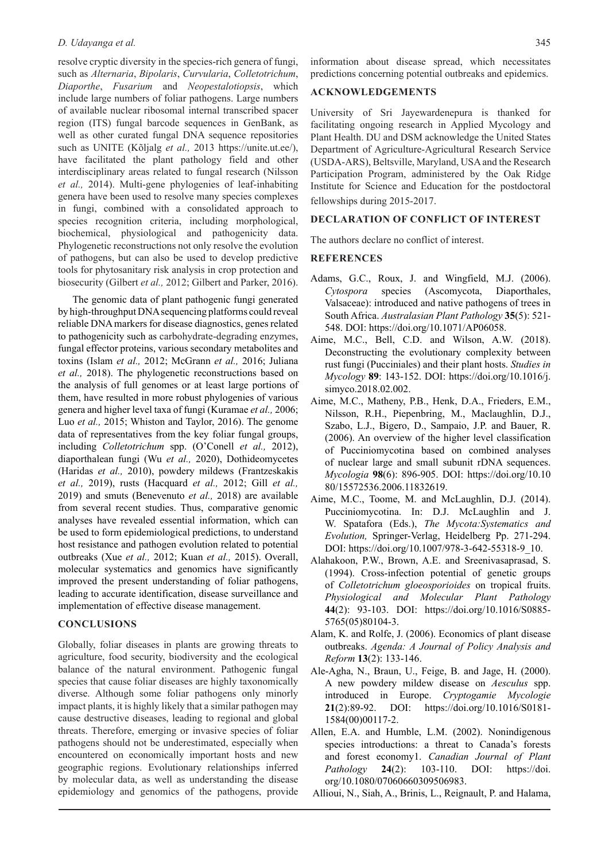resolve cryptic diversity in the species-rich genera of fungi, such as *Alternaria*, *Bipolaris*, *Curvularia*, *Colletotrichum*, *Diaporthe*, *Fusarium* and *Neopestalotiopsis*, which include large numbers of foliar pathogens. Large numbers of available nuclear ribosomal internal transcribed spacer region (ITS) fungal barcode sequences in GenBank, as well as other curated fungal DNA sequence repositories such as UNITE (Kõljalg *et al.,* 2013 https://unite.ut.ee/), have facilitated the plant pathology field and other interdisciplinary areas related to fungal research (Nilsson *et al.,* 2014). Multi-gene phylogenies of leaf-inhabiting genera have been used to resolve many species complexes in fungi, combined with a consolidated approach to species recognition criteria, including morphological, biochemical, physiological and pathogenicity data. Phylogenetic reconstructions not only resolve the evolution of pathogens, but can also be used to develop predictive tools for phytosanitary risk analysis in crop protection and biosecurity (Gilbert *et al.,* 2012; Gilbert and Parker, 2016).

The genomic data of plant pathogenic fungi generated by high-throughput DNA sequencing platforms could reveal reliable DNA markers for disease diagnostics, genes related to pathogenicity such as carbohydrate-degrading enzymes, fungal effector proteins, various secondary metabolites and toxins (Islam *et al.,* 2012; McGrann *et al.,* 2016; Juliana *et al.,* 2018). The phylogenetic reconstructions based on the analysis of full genomes or at least large portions of them, have resulted in more robust phylogenies of various genera and higher level taxa of fungi (Kuramae *et al.,* 2006; Luo *et al.,* 2015; Whiston and Taylor, 2016). The genome data of representatives from the key foliar fungal groups, including *Colletotrichum* spp. (O'Conell *et al.,* 2012), diaporthalean fungi (Wu *et al.,* 2020), Dothideomycetes (Haridas *et al.,* 2010), powdery mildews (Frantzeskakis *et al.,* 2019), rusts (Hacquard *et al.,* 2012; Gill *et al.,* 2019) and smuts (Benevenuto *et al.,* 2018) are available from several recent studies. Thus, comparative genomic analyses have revealed essential information, which can be used to form epidemiological predictions, to understand host resistance and pathogen evolution related to potential outbreaks (Xue *et al.,* 2012; Kuan *et al.,* 2015). Overall, molecular systematics and genomics have significantly improved the present understanding of foliar pathogens, leading to accurate identification, disease surveillance and implementation of effective disease management.

### **CONCLUSIONS**

Globally, foliar diseases in plants are growing threats to agriculture, food security, biodiversity and the ecological balance of the natural environment. Pathogenic fungal species that cause foliar diseases are highly taxonomically diverse. Although some foliar pathogens only minorly impact plants, it is highly likely that a similar pathogen may cause destructive diseases, leading to regional and global threats. Therefore, emerging or invasive species of foliar pathogens should not be underestimated, especially when encountered on economically important hosts and new geographic regions. Evolutionary relationships inferred by molecular data, as well as understanding the disease epidemiology and genomics of the pathogens, provide information about disease spread, which necessitates predictions concerning potential outbreaks and epidemics.

### **ACKNOWLEDGEMENTS**

University of Sri Jayewardenepura is thanked for facilitating ongoing research in Applied Mycology and Plant Health. DU and DSM acknowledge the United States Department of Agriculture-Agricultural Research Service (USDA-ARS), Beltsville, Maryland, USA and the Research Participation Program, administered by the Oak Ridge Institute for Science and Education for the postdoctoral fellowships during 2015-2017.

#### **DECLARATION OF CONFLICT OF INTEREST**

The authors declare no conflict of interest.

#### **REFERENCES**

- Adams, G.C., Roux, J. and Wingfield, M.J. (2006). *Cytospora* species (Ascomycota, Diaporthales, Valsaceae): introduced and native pathogens of trees in South Africa. *Australasian Plant Pathology* **35**(5): 521- 548. DOI: https://doi.org/10.1071/AP06058.
- Aime, M.C., Bell, C.D. and Wilson, A.W. (2018). Deconstructing the evolutionary complexity between rust fungi (Pucciniales) and their plant hosts. *Studies in Mycology* **89**: 143-152. DOI: https://doi.org/10.1016/j. simyco.2018.02.002.
- Aime, M.C., Matheny, P.B., Henk, D.A., Frieders, E.M., Nilsson, R.H., Piepenbring, M., Maclaughlin, D.J., Szabo, L.J., Bigero, D., Sampaio, J.P. and Bauer, R. (2006). An overview of the higher level classification of Pucciniomycotina based on combined analyses of nuclear large and small subunit rDNA sequences. *Mycologia* **98**(6): 896-905. DOI: https://doi.org/10.10 80/15572536.2006.11832619.
- Aime, M.C., Toome, M. and McLaughlin, D.J. (2014). Pucciniomycotina. In: D.J. McLaughlin and J. W. Spatafora (Eds.), *The Mycota:Systematics and Evolution,* Springer-Verlag, Heidelberg Pp. 271-294. DOI: https://doi.org/10.1007/978-3-642-55318-9\_10.
- Alahakoon, P.W., Brown, A.E. and Sreenivasaprasad, S. (1994). Cross-infection potential of genetic groups of *Colletotrichum gloeosporioides* on tropical fruits. *Physiological and Molecular Plant Pathology* **44**(2): 93-103. DOI: https://doi.org/10.1016/S0885- 5765(05)80104-3.
- Alam, K. and Rolfe, J. (2006). Economics of plant disease outbreaks. *Agenda: A Journal of Policy Analysis and Reform* **13**(2): 133-146.
- Ale-Agha, N., Braun, U., Feige, B. and Jage, H. (2000). A new powdery mildew disease on *Aesculus* spp. introduced in Europe. *Cryptogamie Mycologie* **21**(2):89-92. DOI: https://doi.org/10.1016/S0181- 1584(00)00117-2.
- Allen, E.A. and Humble, L.M. (2002). Nonindigenous species introductions: a threat to Canada's forests and forest economy1. *Canadian Journal of Plant Pathology* **24**(2): 103-110. DOI: https://doi. org/10.1080/07060660309506983.
- Allioui, N., Siah, A., Brinis, L., Reignault, P. and Halama,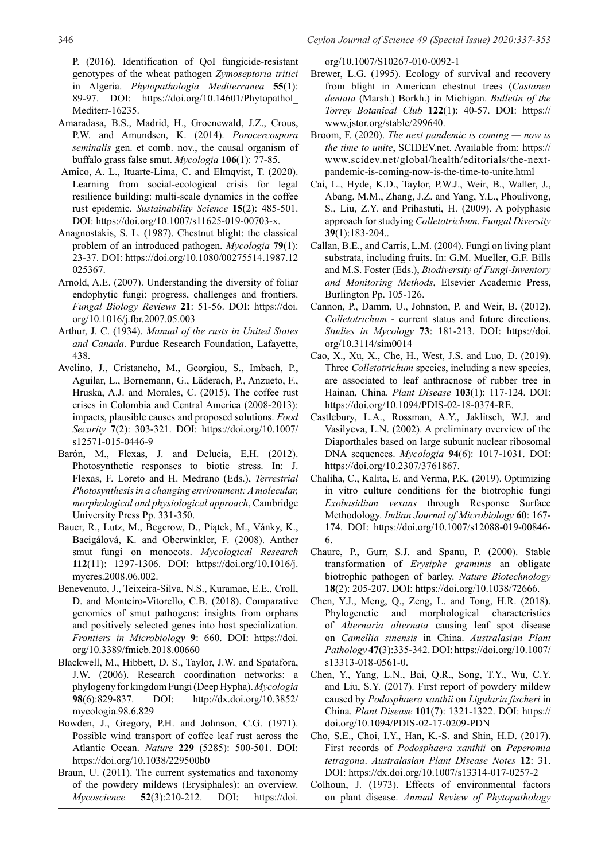346 *Ceylon Journal of Science 49 (Special Issue) 2020:337-353*

P. (2016). Identification of QoI fungicide-resistant genotypes of the wheat pathogen *Zymoseptoria tritici*  in Algeria. *Phytopathologia Mediterranea* **55**(1): 89-97. DOI: https://doi.org/10.14601/Phytopathol\_ Mediterr-16235.

- Amaradasa, B.S., Madrid, H., Groenewald, J.Z., Crous, P.W. and Amundsen, K. (2014). *Porocercospora seminalis* gen. et comb. nov., the causal organism of buffalo grass false smut. *Mycologia* **106**(1): 77-85.
- Amico, A. L., Ituarte-Lima, C. and Elmqvist, T. (2020). Learning from social-ecological crisis for legal resilience building: multi-scale dynamics in the coffee rust epidemic. *Sustainability Science* **15**(2): 485-501. DOI: https://doi.org/10.1007/s11625-019-00703-x.
- Anagnostakis, S. L. (1987). Chestnut blight: the classical problem of an introduced pathogen. *Mycologia* **79**(1): 23-37. DOI: https://doi.org/10.1080/00275514.1987.12 025367.
- Arnold, A.E. (2007). Understanding the diversity of foliar endophytic fungi: progress, challenges and frontiers. *Fungal Biology Reviews* **21**: 51-56. DOI: https://doi. org/10.1016/j.fbr.2007.05.003
- Arthur, J. C. (1934). *Manual of the rusts in United States and Canada*. Purdue Research Foundation, Lafayette, 438.
- Avelino, J., Cristancho, M., Georgiou, S., Imbach, P., Aguilar, L., Bornemann, G., Läderach, P., Anzueto, F., Hruska, A.J. and Morales, C. (2015). The coffee rust crises in Colombia and Central America (2008-2013): impacts, plausible causes and proposed solutions. *Food Security* **7**(2): 303-321. DOI: https://doi.org/10.1007/ s12571-015-0446-9
- Barón, M., Flexas, J. and Delucia, E.H. (2012). Photosynthetic responses to biotic stress. In: J. Flexas, F. Loreto and H. Medrano (Eds.), *Terrestrial Photosynthesis in a changing environment: A molecular, morphological and physiological approach*, Cambridge University Press Pp. 331-350.
- Bauer, R., Lutz, M., Begerow, D., Piątek, M., Vánky, K., Bacigálová, K. and Oberwinkler, F. (2008). Anther smut fungi on monocots. *Mycological Research* **112**(11): 1297-1306. DOI: https://doi.org/10.1016/j. mycres.2008.06.002.
- Benevenuto, J., Teixeira-Silva, N.S., Kuramae, E.E., Croll, D. and Monteiro-Vitorello, C.B. (2018). Comparative genomics of smut pathogens: insights from orphans and positively selected genes into host specialization. *Frontiers in Microbiology* **9**: 660. DOI: https://doi. org/10.3389/fmicb.2018.00660
- Blackwell, M., Hibbett, D. S., Taylor, J.W. and Spatafora, J.W. (2006). Research coordination networks: a phylogeny for kingdom Fungi (Deep Hypha). *Mycologia* **98**(6):829-837. DOI: http://dx.doi.org/10.3852/ mycologia.98.6.829
- Bowden, J., Gregory, P.H. and Johnson, C.G. (1971). Possible wind transport of coffee leaf rust across the Atlantic Ocean. *Nature* **229** (5285): 500-501. DOI: https://doi.org/10.1038/229500b0
- Braun, U. (2011). The current systematics and taxonomy of the powdery mildews (Erysiphales): an overview. *Mycoscience* **52**(3):210-212. DOI: https://doi.

org/10.1007/S10267-010-0092-1

- Brewer, L.G. (1995). Ecology of survival and recovery from blight in American chestnut trees (*Castanea dentata* (Marsh.) Borkh.) in Michigan. *Bulletin of the Torrey Botanical Club* **122**(1): 40-57. DOI: https:// www.jstor.org/stable/299640.
- Broom, F. (2020). *The next pandemic is coming now is the time to unite*, SCIDEV.net. Available from: https:// www.scidev.net/global/health/editorials/the-nextpandemic-is-coming-now-is-the-time-to-unite.html
- Cai, L., Hyde, K.D., Taylor, P.W.J., Weir, B., Waller, J., Abang, M.M., Zhang, J.Z. and Yang, Y.L., Phoulivong, S., Liu, Z.Y. and Prihastuti, H. (2009). A polyphasic approach for studying *Colletotrichum*. *Fungal Diversity* **39**(1):183-204..
- Callan, B.E., and Carris, L.M. (2004). Fungi on living plant substrata, including fruits. In: G.M. Mueller, G.F. Bills and M.S. Foster (Eds.), *Biodiversity of Fungi-Inventory and Monitoring Methods*, Elsevier Academic Press, Burlington Pp. 105-126.
- Cannon, P., Damm, U., Johnston, P. and Weir, B. (2012). *Colletotrichum* - current status and future directions. *Studies in Mycology* **73**: 181-213. DOI: https://doi. org/10.3114/sim0014
- Cao, X., Xu, X., Che, H., West, J.S. and Luo, D. (2019). Three *Colletotrichum* species, including a new species, are associated to leaf anthracnose of rubber tree in Hainan, China. *Plant Disease* **103**(1): 117-124. DOI: https://doi.org/10.1094/PDIS-02-18-0374-RE.
- Castlebury, L.A., Rossman, A.Y., Jaklitsch, W.J. and Vasilyeva, L.N. (2002). A preliminary overview of the Diaporthales based on large subunit nuclear ribosomal DNA sequences. *Mycologia* **94**(6): 1017-1031. DOI: https://doi.org/10.2307/3761867.
- Chaliha, C., Kalita, E. and Verma, P.K. (2019). Optimizing in vitro culture conditions for the biotrophic fungi *Exobasidium vexans* through Response Surface Methodology. *Indian Journal of Microbiology* **60**: 167- 174. DOI: https://doi.org/10.1007/s12088-019-00846- 6.
- Chaure, P., Gurr, S.J. and Spanu, P. (2000). Stable transformation of *Erysiphe graminis* an obligate biotrophic pathogen of barley. *Nature Biotechnology* **18**(2): 205-207. DOI: https://doi.org/10.1038/72666.
- Chen, Y.J., Meng, Q., Zeng, L. and Tong, H.R. (2018). Phylogenetic and morphological characteristics of *Alternaria alternata* causing leaf spot disease on *Camellia sinensis* in China. *Australasian Plant Pathology* **47**(3):335-342. DOI: https://doi.org/10.1007/ s13313-018-0561-0.
- Chen, Y., Yang, L.N., Bai, Q.R., Song, T.Y., Wu, C.Y. and Liu, S.Y. (2017). First report of powdery mildew caused by *Podosphaera xanthii* on *Ligularia fischeri* in China. *Plant Disease* **101**(7): 1321-1322. DOI: https:// doi.org/10.1094/PDIS-02-17-0209-PDN
- Cho, S.E., Choi, I.Y., Han, K.-S. and Shin, H.D. (2017). First records of *Podosphaera xanthii* on *Peperomia tetragona*. *Australasian Plant Disease Notes* **12**: 31. DOI: https://dx.doi.org/10.1007/s13314-017-0257-2
- Colhoun, J. (1973). Effects of environmental factors on plant disease. *Annual Review of Phytopathology*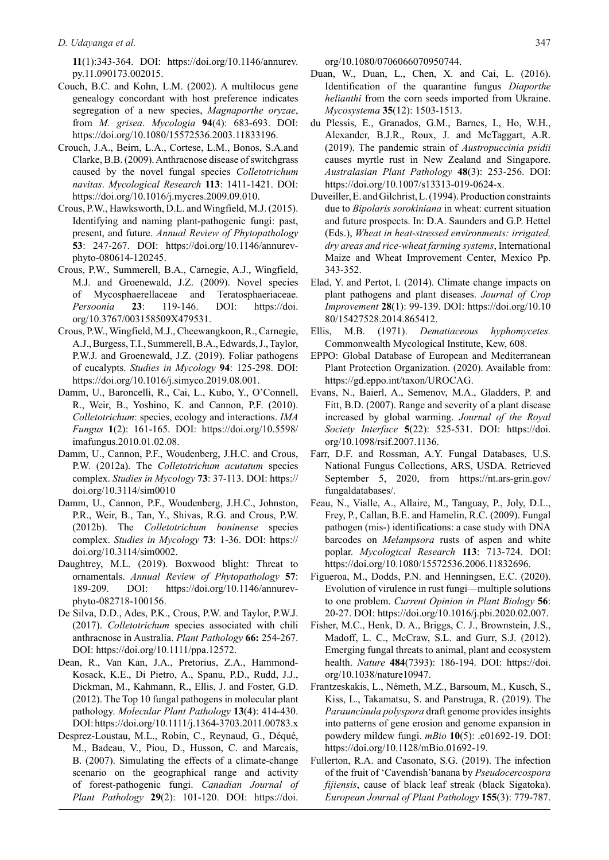**11**(1):343-364. DOI: https://doi.org/10.1146/annurev. py.11.090173.002015.

- Couch, B.C. and Kohn, L.M. (2002). A multilocus gene genealogy concordant with host preference indicates segregation of a new species, *Magnaporthe oryzae*, from *M. grisea*. *Mycologia* **94**(4): 683-693. DOI: https://doi.org/10.1080/15572536.2003.11833196.
- Crouch, J.A., Beirn, L.A., Cortese, L.M., Bonos, S.A.and Clarke, B.B. (2009). Anthracnose disease of switchgrass caused by the novel fungal species *Colletotrichum navitas*. *Mycological Research* **113**: 1411-1421. DOI: https://doi.org/10.1016/j.mycres.2009.09.010.
- Crous, P.W., Hawksworth, D.L. and Wingfield, M.J. (2015). Identifying and naming plant-pathogenic fungi: past, present, and future. *Annual Review of Phytopathology* **53**: 247-267. DOI: https://doi.org/10.1146/annurevphyto-080614-120245.
- Crous, P.W., Summerell, B.A., Carnegie, A.J., Wingfield, M.J. and Groenewald, J.Z. (2009). Novel species of Mycosphaerellaceae and Teratosphaeriaceae. *Persoonia* **23**: 119-146. DOI: https://doi. org/10.3767/003158509X479531.
- Crous, P.W., Wingfield, M.J., Cheewangkoon, R., Carnegie, A.J., Burgess, T.I., Summerell, B.A., Edwards, J., Taylor, P.W.J. and Groenewald, J.Z. (2019). Foliar pathogens of eucalypts. *Studies in Mycology* **94**: 125-298. DOI: https://doi.org/10.1016/j.simyco.2019.08.001.
- Damm, U., Baroncelli, R., Cai, L., Kubo, Y., O'Connell, R., Weir, B., Yoshino, K. and Cannon, P.F. (2010). *Colletotrichum*: species, ecology and interactions. *IMA Fungus* **1**(2): 161-165. DOI: https://doi.org/10.5598/ imafungus.2010.01.02.08.
- Damm, U., Cannon, P.F., Woudenberg, J.H.C. and Crous, P.W. (2012a). The *Colletotrichum acutatum* species complex. *Studies in Mycology* **73**: 37-113. DOI: https:// doi.org/10.3114/sim0010
- Damm, U., Cannon, P.F., Woudenberg, J.H.C., Johnston, P.R., Weir, B., Tan, Y., Shivas, R.G. and Crous, P.W. (2012b). The *Colletotrichum boninense* species complex. *Studies in Mycology* **73**: 1-36. DOI: https:// doi.org/10.3114/sim0002.
- Daughtrey, M.L. (2019). Boxwood blight: Threat to ornamentals. *Annual Review of Phytopathology* **57**: 189-209. DOI: https://doi.org/10.1146/annurevphyto-082718-100156.
- De Silva, D.D., Ades, P.K., Crous, P.W. and Taylor, P.W.J. (2017). *Colletotrichum* species associated with chili anthracnose in Australia. *Plant Pathology* **66:** 254-267. DOI: https://doi.org/10.1111/ppa.12572.
- Dean, R., Van Kan, J.A., Pretorius, Z.A., Hammond-Kosack, K.E., Di Pietro, A., Spanu, P.D., Rudd, J.J., Dickman, M., Kahmann, R., Ellis, J. and Foster, G.D. (2012). The Top 10 fungal pathogens in molecular plant pathology. *Molecular Plant Pathology* **13**(4): 414-430. DOI: https://doi.org/10.1111/j.1364-3703.2011.00783.x
- Desprez-Loustau, M.L., Robin, C., Reynaud, G., Déqué, M., Badeau, V., Piou, D., Husson, C. and Marcais, B. (2007). Simulating the effects of a climate-change scenario on the geographical range and activity of forest-pathogenic fungi. *Canadian Journal of Plant Pathology* **29**(2): 101-120. DOI: https://doi.

org/10.1080/0706066070950744.

- Duan, W., Duan, L., Chen, X. and Cai, L. (2016). Identification of the quarantine fungus *Diaporthe helianthi* from the corn seeds imported from Ukraine. *Mycosystema* **35**(12): 1503-1513.
- du Plessis, E., Granados, G.M., Barnes, I., Ho, W.H., Alexander, B.J.R., Roux, J. and McTaggart, A.R. (2019). The pandemic strain of *Austropuccinia psidii* causes myrtle rust in New Zealand and Singapore. *Australasian Plant Pathology* **48**(3): 253-256. DOI: https://doi.org/10.1007/s13313-019-0624-x.
- Duveiller, E. and Gilchrist, L. (1994). Production constraints due to *Bipolaris sorokiniana* in wheat: current situation and future prospects. In: D.A. Saunders and G.P. Hettel (Eds.), *Wheat in heat-stressed environments: irrigated, dry areas and rice-wheat farming systems*, International Maize and Wheat Improvement Center, Mexico Pp. 343-352.
- Elad, Y. and Pertot, I. (2014). Climate change impacts on plant pathogens and plant diseases. *Journal of Crop Improvement* **28**(1): 99-139. DOI: https://doi.org/10.10 80/15427528.2014.865412.
- Ellis, M.B. (1971). *Dematiaceous hyphomycetes.*  Commonwealth Mycological Institute, Kew, 608.
- EPPO: Global Database of European and Mediterranean Plant Protection Organization. (2020). Available from: https://gd.eppo.int/taxon/UROCAG.
- Evans, N., Baierl, A., Semenov, M.A., Gladders, P. and Fitt, B.D. (2007). Range and severity of a plant disease increased by global warming. *Journal of the Royal Society Interface* **5**(22): 525-531. DOI: https://doi. org/10.1098/rsif.2007.1136.
- Farr, D.F. and Rossman, A.Y. Fungal Databases, U.S. National Fungus Collections, ARS, USDA. Retrieved September 5, 2020, from https://nt.ars-grin.gov/ fungaldatabases/.
- Feau, N., Vialle, A., Allaire, M., Tanguay, P., Joly, D.L., Frey, P., Callan, B.E. and Hamelin, R.C. (2009). Fungal pathogen (mis-) identifications: a case study with DNA barcodes on *Melampsora* rusts of aspen and white poplar. *Mycological Research* **113**: 713-724. DOI: https://doi.org/10.1080/15572536.2006.11832696.
- Figueroa, M., Dodds, P.N. and Henningsen, E.C. (2020). Evolution of virulence in rust fungi—multiple solutions to one problem. *Current Opinion in Plant Biology* **56**: 20-27. DOI: https://doi.org/10.1016/j.pbi.2020.02.007.
- Fisher, M.C., Henk, D. A., Briggs, C. J., Brownstein, J.S., Madoff, L. C., McCraw, S.L. and Gurr, S.J. (2012). Emerging fungal threats to animal, plant and ecosystem health. *Nature* **484**(7393): 186-194. DOI: https://doi. org/10.1038/nature10947.
- Frantzeskakis, L., Németh, M.Z., Barsoum, M., Kusch, S., Kiss, L., Takamatsu, S. and Panstruga, R. (2019). The *Parauncinula polyspora* draft genome provides insights into patterns of gene erosion and genome expansion in powdery mildew fungi. *mBio* **10**(5): .e01692-19. DOI: https://doi.org/10.1128/mBio.01692-19.
- Fullerton, R.A. and Casonato, S.G. (2019). The infection of the fruit of 'Cavendish'banana by *Pseudocercospora fijiensis*, cause of black leaf streak (black Sigatoka). *European Journal of Plant Pathology* **155**(3): 779-787.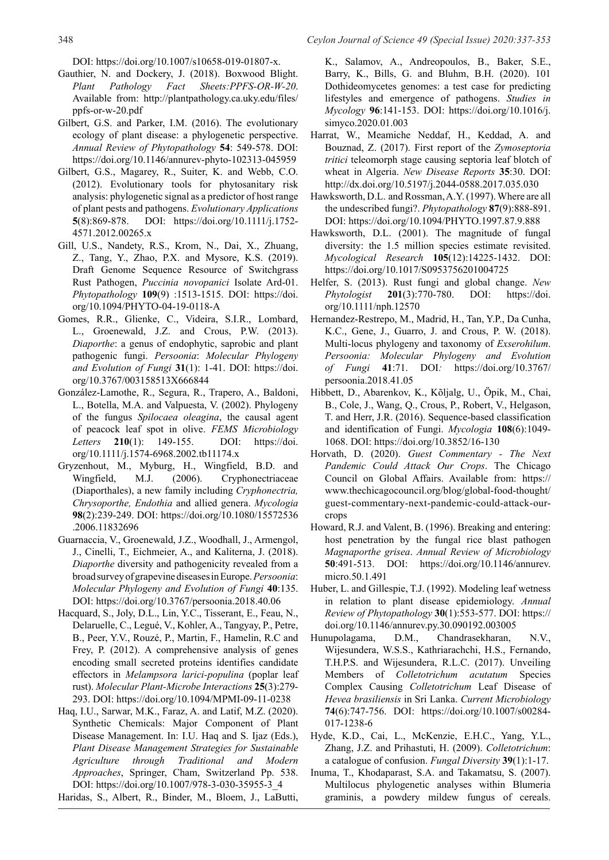348 *Ceylon Journal of Science 49 (Special Issue) 2020:337-353*

DOI: https://doi.org/10.1007/s10658-019-01807-x.

- Gauthier, N. and Dockery, J. (2018). Boxwood Blight. *Plant Pathology Fact Sheets:PPFS-OR-W-20*. Available from: http://plantpathology.ca.uky.edu/files/ ppfs-or-w-20.pdf
- Gilbert, G.S. and Parker, I.M. (2016). The evolutionary ecology of plant disease: a phylogenetic perspective. *Annual Review of Phytopathology* **54**: 549-578. DOI: https://doi.org/10.1146/annurev-phyto-102313-045959
- Gilbert, G.S., Magarey, R., Suiter, K. and Webb, C.O. (2012). Evolutionary tools for phytosanitary risk analysis: phylogenetic signal as a predictor of host range of plant pests and pathogens. *Evolutionary Applications* **5**(8):869-878. DOI: https://doi.org/10.1111/j.1752- 4571.2012.00265.x
- Gill, U.S., Nandety, R.S., Krom, N., Dai, X., Zhuang, Z., Tang, Y., Zhao, P.X. and Mysore, K.S. (2019). Draft Genome Sequence Resource of Switchgrass Rust Pathogen, *Puccinia novopanici* Isolate Ard-01. *Phytopathology* **109**(9) :1513-1515. DOI: https://doi. org/10.1094/PHYTO-04-19-0118-A
- Gomes, R.R., Glienke, C., Videira, S.I.R., Lombard, L., Groenewald, J.Z. and Crous, P.W. (2013). *Diaporthe*: a genus of endophytic, saprobic and plant pathogenic fungi. *Persoonia*: *Molecular Phylogeny and Evolution of Fungi* **31**(1): 1-41. DOI: https://doi. org/10.3767/003158513X666844
- González-Lamothe, R., Segura, R., Trapero, A., Baldoni, L., Botella, M.A. and Valpuesta, V. (2002). Phylogeny of the fungus *Spilocaea oleagina*, the causal agent of peacock leaf spot in olive. *FEMS Microbiology Letters* **210**(1): 149-155. DOI: https://doi. org/10.1111/j.1574-6968.2002.tb11174.x
- Gryzenhout, M., Myburg, H., Wingfield, B.D. and Wingfield, M.J. (2006). Cryphonectriaceae (Diaporthales), a new family including *Cryphonectria, Chrysoporthe, Endothia* and allied genera. *Mycologia* **98**(2):239-249. DOI: https://doi.org/10.1080/15572536 .2006.11832696
- Guarnaccia, V., Groenewald, J.Z., Woodhall, J., Armengol, J., Cinelli, T., Eichmeier, A., and Kaliterna, J. (2018). *Diaporthe* diversity and pathogenicity revealed from a broad survey of grapevine diseases in Europe. *Persoonia*: *Molecular Phylogeny and Evolution of Fungi* **40**:135. DOI: https://doi.org/10.3767/persoonia.2018.40.06
- Hacquard, S., Joly, D.L., Lin, Y.C., Tisserant, E., Feau, N., Delaruelle, C., Legué, V., Kohler, A., Tangyay, P., Petre, B., Peer, Y.V., Rouzé, P., Martin, F., Hamelin, R.C and Frey, P. (2012). A comprehensive analysis of genes encoding small secreted proteins identifies candidate effectors in *Melampsora larici-populina* (poplar leaf rust). *Molecular Plant-Microbe Interactions* **25**(3):279- 293. DOI: https://doi.org/10.1094/MPMI-09-11-0238
- Haq, I.U., Sarwar, M.K., Faraz, A. and Latif, M.Z. (2020). Synthetic Chemicals: Major Component of Plant Disease Management. In: I.U. Haq and S. Ijaz (Eds.), *Plant Disease Management Strategies for Sustainable Agriculture through Traditional and Modern Approaches*, Springer, Cham, Switzerland Pp. 538. DOI: https://doi.org/10.1007/978-3-030-35955-3\_4

Haridas, S., Albert, R., Binder, M., Bloem, J., LaButti,

K., Salamov, A., Andreopoulos, B., Baker, S.E., Barry, K., Bills, G. and Bluhm, B.H. (2020). 101 Dothideomycetes genomes: a test case for predicting lifestyles and emergence of pathogens. *Studies in Mycology* **96**:141-153. DOI: https://doi.org/10.1016/j. simyco.2020.01.003

- Harrat, W., Meamiche Neddaf, H., Keddad, A. and Bouznad, Z. (2017). First report of the *Zymoseptoria tritici* teleomorph stage causing septoria leaf blotch of wheat in Algeria. *New Disease Reports* **35**:30. DOI: http://dx.doi.org/10.5197/j.2044-0588.2017.035.030
- Hawksworth, D.L. and Rossman, A.Y. (1997). Where are all the undescribed fungi?. *Phytopathology* **87**(9):888-891. DOI: https://doi.org/10.1094/PHYTO.1997.87.9.888
- Hawksworth, D.L. (2001). The magnitude of fungal diversity: the 1.5 million species estimate revisited. *Mycological Research* **105**(12):14225-1432. DOI: https://doi.org/10.1017/S0953756201004725
- Helfer, S. (2013). Rust fungi and global change. *New Phytologist* **201**(3):770-780. DOI: https://doi. org/10.1111/nph.12570
- Hernandez-Restrepo, M., Madrid, H., Tan, Y.P., Da Cunha, K.C., Gene, J., Guarro, J. and Crous, P. W. (2018). Multi-locus phylogeny and taxonomy of *Exserohilum*. *Persoonia: Molecular Phylogeny and Evolution of Fungi* **41**:71. DOI*:* https://doi.org/10.3767/ persoonia.2018.41.05
- Hibbett, D., Abarenkov, K., Kõljalg, U., Öpik, M., Chai, B., Cole, J., Wang, Q., Crous, P., Robert, V., Helgason, T. and Herr, J.R. (2016). Sequence-based classification and identification of Fungi. *Mycologia* **108**(6):1049- 1068. DOI: https://doi.org/10.3852/16-130
- Horvath, D. (2020). *Guest Commentary The Next Pandemic Could Attack Our Crops*. The Chicago Council on Global Affairs. Available from: https:// www.thechicagocouncil.org/blog/global-food-thought/ guest-commentary-next-pandemic-could-attack-ourcrops
- Howard, R.J. and Valent, B. (1996). Breaking and entering: host penetration by the fungal rice blast pathogen *Magnaporthe grisea*. *Annual Review of Microbiology* **50**:491-513. DOI: https://doi.org/10.1146/annurev. micro.50.1.491
- Huber, L. and Gillespie, T.J. (1992). Modeling leaf wetness in relation to plant disease epidemiology. *Annual Review of Phytopathology* **30**(1):553-577. DOI: https:// doi.org/10.1146/annurev.py.30.090192.003005
- Hunupolagama, D.M., Chandrasekharan, N.V., Wijesundera, W.S.S., Kathriarachchi, H.S., Fernando, T.H.P.S. and Wijesundera, R.L.C. (2017). Unveiling Members of *Colletotrichum acutatum* Species Complex Causing *Colletotrichum* Leaf Disease of *Hevea brasiliensis* in Sri Lanka. *Current Microbiology* **74**(6):747-756. DOI: https://doi.org/10.1007/s00284- 017-1238-6
- Hyde, K.D., Cai, L., McKenzie, E.H.C., Yang, Y.L., Zhang, J.Z. and Prihastuti, H. (2009). *Colletotrichum*: a catalogue of confusion. *Fungal Diversity* **39**(1):1-17.
- Inuma, T., Khodaparast, S.A. and Takamatsu, S. (2007). Multilocus phylogenetic analyses within Blumeria graminis, a powdery mildew fungus of cereals.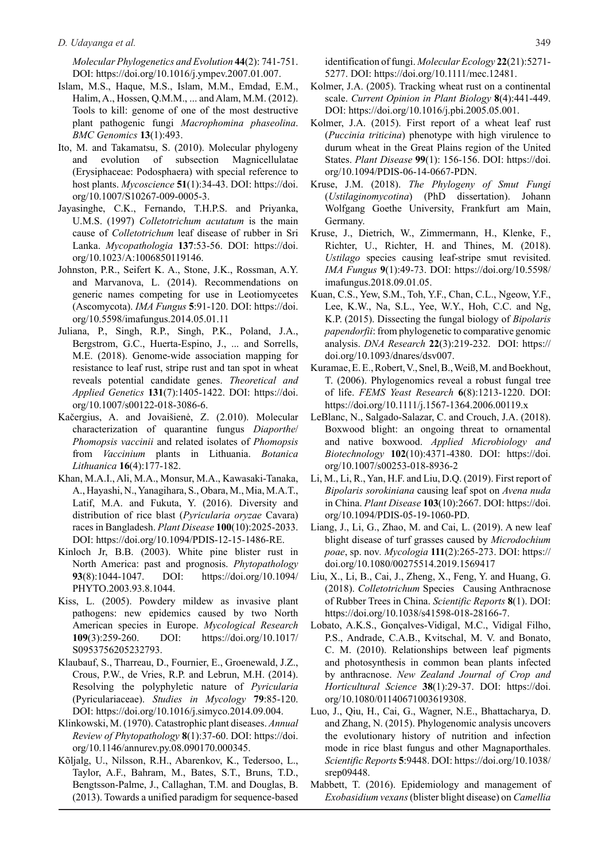*Molecular Phylogenetics and Evolution* **44**(2): 741-751. DOI: https://doi.org/10.1016/j.ympev.2007.01.007.

- Islam, M.S., Haque, M.S., Islam, M.M., Emdad, E.M., Halim, A., Hossen, Q.M.M., ... and Alam, M.M. (2012). Tools to kill: genome of one of the most destructive plant pathogenic fungi *Macrophomina phaseolina*. *BMC Genomics* **13**(1):493.
- Ito, M. and Takamatsu, S. (2010). Molecular phylogeny and evolution of subsection Magnicellulatae (Erysiphaceae: Podosphaera) with special reference to host plants. *Mycoscience* **51**(1):34-43. DOI: https://doi. org/10.1007/S10267-009-0005-3.
- Jayasinghe, C.K., Fernando, T.H.P.S. and Priyanka, U.M.S. (1997) *Colletotrichum acutatum* is the main cause of *Colletotrichum* leaf disease of rubber in Sri Lanka. *Mycopathologia* **137**:53-56. DOI: https://doi. org/10.1023/A:1006850119146.
- Johnston, P.R., Seifert K. A., Stone, J.K., Rossman, A.Y. and Marvanova, L. (2014). Recommendations on generic names competing for use in Leotiomycetes (Ascomycota). *IMA Fungus* **5**:91-120. DOI: https://doi. org/10.5598/imafungus.2014.05.01.11
- Juliana, P., Singh, R.P., Singh, P.K., Poland, J.A., Bergstrom, G.C., Huerta-Espino, J., ... and Sorrells, M.E. (2018). Genome-wide association mapping for resistance to leaf rust, stripe rust and tan spot in wheat reveals potential candidate genes. *Theoretical and Applied Genetics* **131**(7):1405-1422. DOI: https://doi. org/10.1007/s00122-018-3086-6.
- Kačergius, A. and Jovaišienė, Z. (2.010). Molecular characterization of quarantine fungus *Diaporthe*/ *Phomopsis vaccinii* and related isolates of *Phomopsis* from *Vaccinium* plants in Lithuania. *Botanica Lithuanica* **16**(4):177-182.
- Khan, M.A.I., Ali, M.A., Monsur, M.A., Kawasaki-Tanaka, A., Hayashi, N., Yanagihara, S., Obara, M., Mia, M.A.T., Latif, M.A. and Fukuta, Y. (2016). Diversity and distribution of rice blast (*Pyricularia oryzae* Cavara) races in Bangladesh. *Plant Disease* **100**(10):2025-2033. DOI: https://doi.org/10.1094/PDIS-12-15-1486-RE.
- Kinloch Jr, B.B. (2003). White pine blister rust in North America: past and prognosis. *Phytopathology* **93**(8):1044-1047. DOI: https://doi.org/10.1094/ PHYTO.2003.93.8.1044.
- Kiss, L. (2005). Powdery mildew as invasive plant pathogens: new epidemics caused by two North American species in Europe. *Mycological Research* **109**(3):259-260. DOI: https://doi.org/10.1017/ S0953756205232793.
- Klaubauf, S., Tharreau, D., Fournier, E., Groenewald, J.Z., Crous, P.W., de Vries, R.P. and Lebrun, M.H. (2014). Resolving the polyphyletic nature of *Pyricularia* (Pyriculariaceae). *Studies in Mycology* **79**:85-120. DOI: https://doi.org/10.1016/j.simyco.2014.09.004.
- Klinkowski, M. (1970). Catastrophic plant diseases. *Annual Review of Phytopathology* **8**(1):37-60. DOI: https://doi. org/10.1146/annurev.py.08.090170.000345.
- Kõljalg, U., Nilsson, R.H., Abarenkov, K., Tedersoo, L., Taylor, A.F., Bahram, M., Bates, S.T., Bruns, T.D., Bengtsson-Palme, J., Callaghan, T.M. and Douglas, B. (2013). Towards a unified paradigm for sequence-based

identification of fungi. *Molecular Ecology* **22**(21):5271- 5277. DOI: https://doi.org/10.1111/mec.12481.

- Kolmer, J.A. (2005). Tracking wheat rust on a continental scale. *Current Opinion in Plant Biology* **8**(4):441-449. DOI: https://doi.org/10.1016/j.pbi.2005.05.001.
- Kolmer, J.A. (2015). First report of a wheat leaf rust (*Puccinia triticina*) phenotype with high virulence to durum wheat in the Great Plains region of the United States. *Plant Disease* **99**(1): 156-156. DOI: https://doi. org/10.1094/PDIS-06-14-0667-PDN.
- Kruse, J.M. (2018). *The Phylogeny of Smut Fungi*  (*Ustilaginomycotina*) (PhD dissertation). Johann Wolfgang Goethe University, Frankfurt am Main, Germany.
- Kruse, J., Dietrich, W., Zimmermann, H., Klenke, F., Richter, U., Richter, H. and Thines, M. (2018). *Ustilago* species causing leaf-stripe smut revisited. *IMA Fungus* **9**(1):49-73. DOI: https://doi.org/10.5598/ imafungus.2018.09.01.05.
- Kuan, C.S., Yew, S.M., Toh, Y.F., Chan, C.L., Ngeow, Y.F., Lee, K.W., Na, S.L., Yee, W.Y., Hoh, C.C. and Ng, K.P. (2015). Dissecting the fungal biology of *Bipolaris papendorfii*: from phylogenetic to comparative genomic analysis. *DNA Research* **22**(3):219-232. DOI: https:// doi.org/10.1093/dnares/dsv007.
- Kuramae, E. E., Robert, V., Snel, B., Weiß, M. and Boekhout, T. (2006). Phylogenomics reveal a robust fungal tree of life. *FEMS Yeast Research* **6**(8):1213-1220. DOI: https://doi.org/10.1111/j.1567-1364.2006.00119.x
- LeBlanc, N., Salgado-Salazar, C. and Crouch, J.A. (2018). Boxwood blight: an ongoing threat to ornamental and native boxwood. *Applied Microbiology and Biotechnology* **102**(10):4371-4380. DOI: https://doi. org/10.1007/s00253-018-8936-2
- Li, M., Li, R., Yan, H.F. and Liu, D.Q. (2019). First report of *Bipolaris sorokiniana* causing leaf spot on *Avena nuda* in China. *Plant Disease* **103**(10):2667. DOI: https://doi. org/10.1094/PDIS-05-19-1060-PD.
- Liang, J., Li, G., Zhao, M. and Cai, L. (2019). A new leaf blight disease of turf grasses caused by *Microdochium poae*, sp. nov*. Mycologia* **111**(2):265-273. DOI: https:// doi.org/10.1080/00275514.2019.1569417
- Liu, X., Li, B., Cai, J., Zheng, X., Feng, Y. and Huang, G. (2018). *Colletotrichum* Species Causing Anthracnose of Rubber Trees in China. *Scientific Reports* **8**(1). DOI: https://doi.org/10.1038/s41598-018-28166-7.
- Lobato, A.K.S., Gonçalves-Vidigal, M.C., Vidigal Filho, P.S., Andrade, C.A.B., Kvitschal, M. V. and Bonato, C. M. (2010). Relationships between leaf pigments and photosynthesis in common bean plants infected by anthracnose. *New Zealand Journal of Crop and Horticultural Science* **38**(1):29-37. DOI: https://doi. org/10.1080/01140671003619308.
- Luo, J., Qiu, H., Cai, G., Wagner, N.E., Bhattacharya, D. and Zhang, N. (2015). Phylogenomic analysis uncovers the evolutionary history of nutrition and infection mode in rice blast fungus and other Magnaporthales. *Scientific Reports* **5**:9448. DOI: https://doi.org/10.1038/ srep09448.
- Mabbett, T. (2016). Epidemiology and management of *Exobasidium vexans* (blister blight disease) on *Camellia*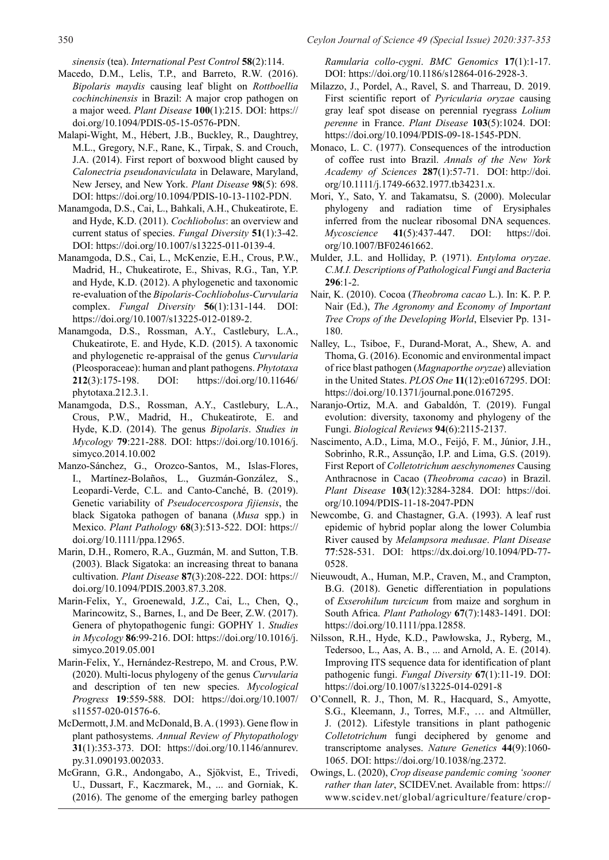*sinensis* (tea). *International Pest Control* **58**(2):114.

- Macedo, D.M., Lelis, T.P., and Barreto, R.W. (2016). *Bipolaris maydis* causing leaf blight on *Rottboellia cochinchinensis* in Brazil: A major crop pathogen on a major weed. *Plant Disease* **100**(1):215. DOI: https:// doi.org/10.1094/PDIS-05-15-0576-PDN.
- Malapi-Wight, M., Hébert, J.B., Buckley, R., Daughtrey, M.L., Gregory, N.F., Rane, K., Tirpak, S. and Crouch, J.A. (2014). First report of boxwood blight caused by *Calonectria pseudonaviculata* in Delaware, Maryland, New Jersey, and New York. *Plant Disease* **98**(5): 698. DOI: https://doi.org/10.1094/PDIS-10-13-1102-PDN.
- Manamgoda, D.S., Cai, L., Bahkali, A.H., Chukeatirote, E. and Hyde, K.D. (2011). *Cochliobolus*: an overview and current status of species. *Fungal Diversity* **51**(1):3-42. DOI: https://doi.org/10.1007/s13225-011-0139-4.
- Manamgoda, D.S., Cai, L., McKenzie, E.H., Crous, P.W., Madrid, H., Chukeatirote, E., Shivas, R.G., Tan, Y.P. and Hyde, K.D. (2012). A phylogenetic and taxonomic re-evaluation of the *Bipolaris-Cochliobolus-Curvularia* complex. *Fungal Diversity* **56**(1):131-144. DOI: https://doi.org/10.1007/s13225-012-0189-2.
- Manamgoda, D.S., Rossman, A.Y., Castlebury, L.A., Chukeatirote, E. and Hyde, K.D. (2015). A taxonomic and phylogenetic re-appraisal of the genus *Curvularia* (Pleosporaceae): human and plant pathogens. *Phytotaxa* **212**(3):175-198. DOI: https://doi.org/10.11646/ phytotaxa.212.3.1.
- Manamgoda, D.S., Rossman, A.Y., Castlebury, L.A., Crous, P.W., Madrid, H., Chukeatirote, E. and Hyde, K.D. (2014). The genus *Bipolaris*. *Studies in Mycology* **79**:221-288. DOI: https://doi.org/10.1016/j. simyco.2014.10.002
- Manzo-Sánchez, G., Orozco-Santos, M., Islas-Flores, I., Martínez-Bolaños, L., Guzmán-González, S., Leopardi-Verde, C.L. and Canto-Canché, B. (2019). Genetic variability of *Pseudocercospora fijiensis*, the black Sigatoka pathogen of banana (*Musa* spp.) in Mexico. *Plant Pathology* **68**(3):513-522. DOI: https:// doi.org/10.1111/ppa.12965.
- Marin, D.H., Romero, R.A., Guzmán, M. and Sutton, T.B. (2003). Black Sigatoka: an increasing threat to banana cultivation. *Plant Disease* **87**(3):208-222. DOI: https:// doi.org/10.1094/PDIS.2003.87.3.208.
- Marin-Felix, Y., Groenewald, J.Z., Cai, L., Chen, Q., Marincowitz, S., Barnes, I., and De Beer, Z.W. (2017). Genera of phytopathogenic fungi: GOPHY 1. *Studies in Mycology* **86**:99-216. DOI: https://doi.org/10.1016/j. simyco.2019.05.001
- Marin-Felix, Y., Hernández-Restrepo, M. and Crous, P.W. (2020). Multi-locus phylogeny of the genus *Curvularia* and description of ten new species. *Mycological Progress* **19**:559-588. DOI: https://doi.org/10.1007/ s11557-020-01576-6.
- McDermott, J.M. and McDonald, B. A. (1993). Gene flow in plant pathosystems. *Annual Review of Phytopathology* **31**(1):353-373. DOI: https://doi.org/10.1146/annurev. py.31.090193.002033.
- McGrann, G.R., Andongabo, A., Sjökvist, E., Trivedi, U., Dussart, F., Kaczmarek, M., ... and Gorniak, K. (2016). The genome of the emerging barley pathogen

*Ramularia collo-cygni*. *BMC Genomics* **17**(1):1-17. DOI: https://doi.org/10.1186/s12864-016-2928-3.

- Milazzo, J., Pordel, A., Ravel, S. and Tharreau, D. 2019. First scientific report of *Pyricularia oryzae* causing gray leaf spot disease on perennial ryegrass *Lolium perenne* in France. *Plant Disease* **103**(5):1024. DOI: https://doi.org/10.1094/PDIS-09-18-1545-PDN.
- Monaco, L. C. (1977). Consequences of the introduction of coffee rust into Brazil. *Annals of the New York Academy of Sciences* **287**(1):57-71. DOI: http://doi. org/10.1111/j.1749-6632.1977.tb34231.x.
- Mori, Y., Sato, Y. and Takamatsu, S. (2000). Molecular phylogeny and radiation time of Erysiphales inferred from the nuclear ribosomal DNA sequences. *Mycoscience* **41**(5):437-447. DOI: https://doi. org/10.1007/BF02461662.
- Mulder, J.L. and Holliday, P. (1971). *Entyloma oryzae*. *C.M.I. Descriptions of Pathological Fungi and Bacteria* **296**:1-2.
- Nair, K. (2010). Cocoa (*Theobroma cacao* L.). In: K. P. P. Nair (Ed.), *The Agronomy and Economy of Important Tree Crops of the Developing World*, Elsevier Pp. 131- 180.
- Nalley, L., Tsiboe, F., Durand-Morat, A., Shew, A. and Thoma, G. (2016). Economic and environmental impact of rice blast pathogen (*Magnaporthe oryzae*) alleviation in the United States. *PLOS One* **11**(12):e0167295. DOI: https://doi.org/10.1371/journal.pone.0167295.
- Naranjo-Ortiz, M.A. and Gabaldón, T. (2019). Fungal evolution: diversity, taxonomy and phylogeny of the Fungi. *Biological Reviews* **94**(6):2115-2137.
- Nascimento, A.D., Lima, M.O., Feijó, F. M., Júnior, J.H., Sobrinho, R.R., Assunção, I.P. and Lima, G.S. (2019). First Report of *Colletotrichum aeschynomenes* Causing Anthracnose in Cacao (*Theobroma cacao*) in Brazil. *Plant Disease* **103**(12):3284-3284. DOI: https://doi. org/10.1094/PDIS-11-18-2047-PDN
- Newcombe, G. and Chastagner, G.A. (1993). A leaf rust epidemic of hybrid poplar along the lower Columbia River caused by *Melampsora medusae*. *Plant Disease* **77**:528-531. DOI: https://dx.doi.org/10.1094/PD-77- 0528.
- Nieuwoudt, A., Human, M.P., Craven, M., and Crampton, B.G. (2018). Genetic differentiation in populations of *Exserohilum turcicum* from maize and sorghum in South Africa. *Plant Pathology* **67**(7):1483-1491. DOI: https://doi.org/10.1111/ppa.12858.
- Nilsson, R.H., Hyde, K.D., Pawłowska, J., Ryberg, M., Tedersoo, L., Aas, A. B., ... and Arnold, A. E. (2014). Improving ITS sequence data for identification of plant pathogenic fungi. *Fungal Diversity* **67**(1):11-19. DOI: https://doi.org/10.1007/s13225-014-0291-8
- O'Connell, R. J., Thon, M. R., Hacquard, S., Amyotte, S.G., Kleemann, J., Torres, M.F., … and Altmüller, J. (2012). Lifestyle transitions in plant pathogenic *Colletotrichum* fungi deciphered by genome and transcriptome analyses. *Nature Genetics* **44**(9):1060- 1065. DOI: https://doi.org/10.1038/ng.2372.
- Owings, L. (2020), *Crop disease pandemic coming 'sooner rather than later*, SCIDEV.net. Available from: https:// www.scidev.net/global/agriculture/feature/crop-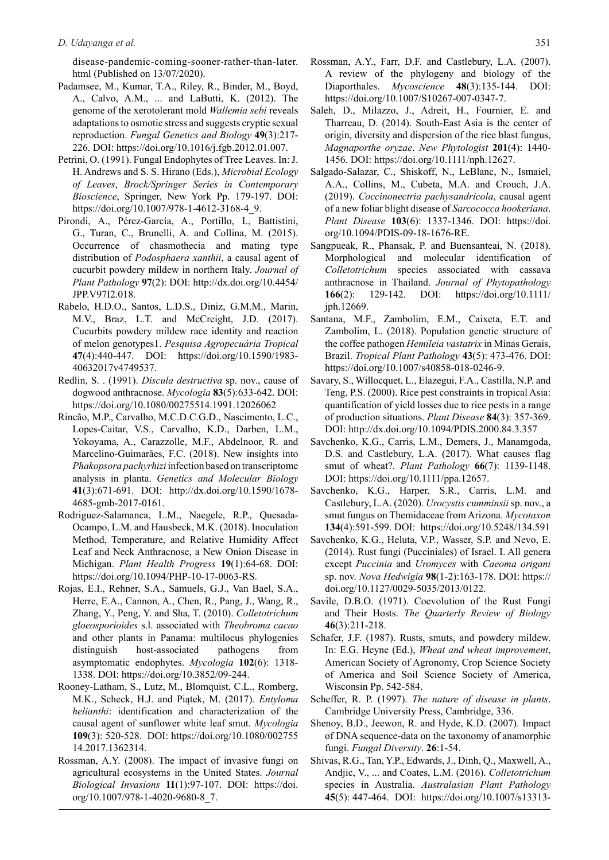disease-pandemic-coming-sooner-rather-than-later. html (Published on 13/07/2020).

- Padamsee, M., Kumar, T.A., Riley, R., Binder, M., Boyd, A., Calvo, A.M., ... and LaButti, K. (2012). The genome of the xerotolerant mold *Wallemia sebi* reveals adaptations to osmotic stress and suggests cryptic sexual reproduction. *Fungal Genetics and Biology* **49**(3):217- 226. DOI: https://doi.org/10.1016/j.fgb.2012.01.007.
- Petrini, O. (1991). Fungal Endophytes of Tree Leaves. In: J. H. Andrews and S. S. Hirano (Eds.), *Microbial Ecology of Leaves*, *Brock/Springer Series in Contemporary Bioscience*, Springer, New York Pp. 179-197. DOI: https://doi.org/10.1007/978-1-4612-3168-4\_9.
- Pirondi, A., Pérez-García, A., Portillo, I., Battistini, G., Turan, C., Brunelli, A. and Collina, M. (2015). Occurrence of chasmothecia and mating type distribution of *Podosphaera xanthii*, a causal agent of cucurbit powdery mildew in northern Italy. *Journal of Plant Pathology* **97**(2): DOI: http://dx.doi.org/10.4454/ JPP.V97I2.018.
- Rabelo, H.D.O., Santos, L.D.S., Diniz, G.M.M., Marin, M.V., Braz, L.T. and McCreight, J.D. (2017). Cucurbits powdery mildew race identity and reaction of melon genotypes1. *Pesquisa Agropecuária Tropical* **47**(4):440-447. DOI: https://doi.org/10.1590/1983- 40632017v4749537.
- Redlin, S. . (1991). *Discula destructiva* sp. nov., cause of dogwood anthracnose. *Mycologia* **83**(5):633-642. DOI: https://doi.org/10.1080/00275514.1991.12026062
- Rincão, M.P., Carvalho, M.C.D.C.G.D., Nascimento, L.C., Lopes-Caitar, V.S., Carvalho, K.D., Darben, L.M., Yokoyama, A., Carazzolle, M.F., Abdelnoor, R. and Marcelino-Guimarães, F.C. (2018). New insights into *Phakopsora pachyrhizi* infection based on transcriptome analysis in planta. *Genetics and Molecular Biology* **41**(3):671-691. DOI: http://dx.doi.org/10.1590/1678- 4685-gmb-2017-0161.
- Rodriguez-Salamanca, L.M., Naegele, R.P., Quesada-Ocampo, L.M. and Hausbeck, M.K. (2018). Inoculation Method, Temperature, and Relative Humidity Affect Leaf and Neck Anthracnose, a New Onion Disease in Michigan. *Plant Health Progress* **19**(1):64-68. DOI: https://doi.org/10.1094/PHP-10-17-0063-RS.
- Rojas, E.I., Rehner, S.A., Samuels, G.J., Van Bael, S.A., Herre, E.A., Cannon, A., Chen, R., Pang, J., Wang, R., Zhang, Y., Peng, Y. and Sha, T. (2010). *Colletotrichum gloeosporioides* s.l. associated with *Theobroma cacao* and other plants in Panama: multilocus phylogenies distinguish host-associated pathogens from asymptomatic endophytes. *Mycologia* **102**(6): 1318- 1338. DOI: https://doi.org/10.3852/09-244.
- Rooney-Latham, S., Lutz, M., Blomquist, C.L., Romberg, M.K., Scheck, H.J. and Piątek, M. (2017). *Entyloma helianthi*: identification and characterization of the causal agent of sunflower white leaf smut. *Mycologia* **109**(3): 520-528. DOI: https://doi.org/10.1080/002755 14.2017.1362314.
- Rossman, A.Y. (2008). The impact of invasive fungi on agricultural ecosystems in the United States. *Journal Biological Invasions* **11**(1):97-107. DOI: https://doi. org/10.1007/978-1-4020-9680-8\_7.
- Rossman, A.Y., Farr, D.F. and Castlebury, L.A. (2007). A review of the phylogeny and biology of the Diaporthales. *Mycoscience* **48**(3):135-144. DOI: https://doi.org/10.1007/S10267-007-0347-7.
- Saleh, D., Milazzo, J., Adreit, H., Fournier, E. and Tharreau, D. (2014). South-East Asia is the center of origin, diversity and dispersion of the rice blast fungus, *Magnaporthe oryzae*. *New Phytologist* **201**(4): 1440- 1456. DOI: https://doi.org/10.1111/nph.12627.
- Salgado-Salazar, C., Shiskoff, N., LeBlanc, N., Ismaiel, A.A., Collins, M., Cubeta, M.A. and Crouch, J.A. (2019). *Coccinonectria pachysandricola*, causal agent of a new foliar blight disease of *Sarcococca hookeriana*. *Plant Disease* **103**(6): 1337-1346. DOI: https://doi. org/10.1094/PDIS-09-18-1676-RE.
- Sangpueak, R., Phansak, P. and Buensanteai, N. (2018). Morphological and molecular identification of *Colletotrichum* species associated with cassava anthracnose in Thailand. *Journal of Phytopathology* **166**(2): 129-142. DOI: https://doi.org/10.1111/ jph.12669.
- Santana, M.F., Zambolim, E.M., Caixeta, E.T. and Zambolim, L. (2018). Population genetic structure of the coffee pathogen *Hemileia vastatrix* in Minas Gerais, Brazil. *Tropical Plant Pathology* **43**(5): 473-476. DOI: https://doi.org/10.1007/s40858-018-0246-9.
- Savary, S., Willocquet, L., Elazegui, F.A., Castilla, N.P. and Teng, P.S. (2000). Rice pest constraints in tropical Asia: quantification of yield losses due to rice pests in a range of production situations. *Plant Disease* **84**(3): 357-369. DOI: http://dx.doi.org/10.1094/PDIS.2000.84.3.357
- Savchenko, K.G., Carris, L.M., Demers, J., Manamgoda, D.S. and Castlebury, L.A. (2017). What causes flag smut of wheat?. *Plant Pathology* **66**(7): 1139-1148. DOI: https://doi.org/10.1111/ppa.12657.
- Savchenko, K.G., Harper, S.R., Carris, L.M. and Castlebury, L.A. (2020). *Urocystis cumminsii* sp. nov., a smut fungus on Themidaceae from Arizona. *Mycotaxon* **134**(4):591-599. DOI: https://doi.org/10.5248/134.591
- Savchenko, K.G., Heluta, V.P., Wasser, S.P. and Nevo, E. (2014). Rust fungi (Pucciniales) of Israel. I. All genera except *Puccinia* and *Uromyces* with *Caeoma origani*  sp. nov. *Nova Hedwigia* **98**(1-2):163-178. DOI: https:// doi.org/10.1127/0029-5035/2013/0122.
- Savile, D.B.O. (1971). Coevolution of the Rust Fungi and Their Hosts. *The Quarterly Review of Biology* **46**(3):211-218.
- Schafer, J.F. (1987). Rusts, smuts, and powdery mildew. In: E.G. Heyne (Ed.), *Wheat and wheat improvement*, American Society of Agronomy, Crop Science Society of America and Soil Science Society of America, Wisconsin Pp. 542-584.
- Scheffer, R. P. (1997). *The nature of disease in plants*. Cambridge University Press, Cambridge, 336.
- Shenoy, B.D., Jeewon, R. and Hyde, K.D. (2007). Impact of DNA sequence-data on the taxonomy of anamorphic fungi. *Fungal Diversity*. **26**:1-54.
- Shivas, R.G., Tan, Y.P., Edwards, J., Dinh, Q., Maxwell, A., Andjic, V., ... and Coates, L.M. (2016). *Colletotrichum* species in Australia. *Australasian Plant Pathology* **45**(5): 447-464. DOI: https://doi.org/10.1007/s13313-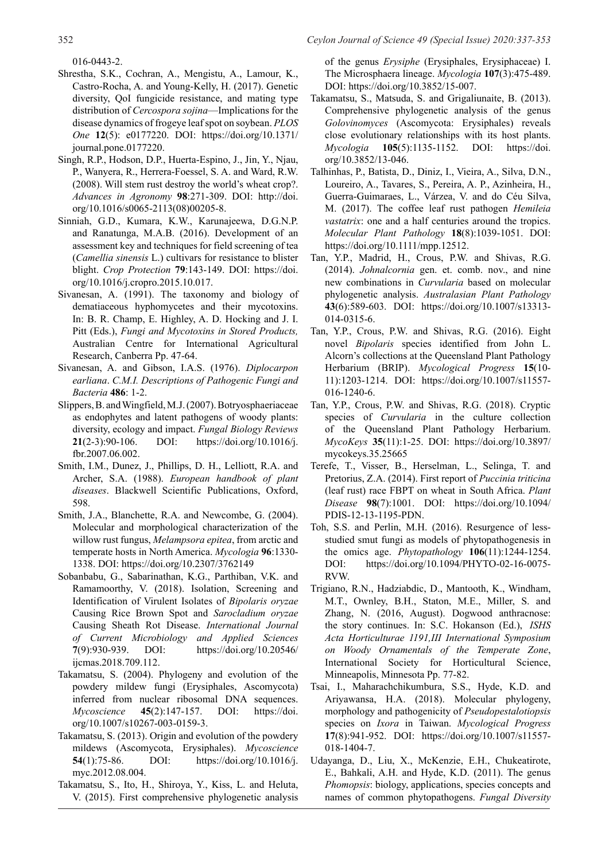016-0443-2.

- Shrestha, S.K., Cochran, A., Mengistu, A., Lamour, K., Castro-Rocha, A. and Young-Kelly, H. (2017). Genetic diversity, QoI fungicide resistance, and mating type distribution of *Cercospora sojina*—Implications for the disease dynamics of frogeye leaf spot on soybean. *PLOS One* **12**(5): e0177220. DOI: https://doi.org/10.1371/ journal.pone.0177220.
- Singh, R.P., Hodson, D.P., Huerta-Espino, J., Jin, Y., Njau, P., Wanyera, R., Herrera-Foessel, S. A. and Ward, R.W. (2008). Will stem rust destroy the world's wheat crop?. *Advances in Agronomy* **98**:271-309. DOI: http://doi. org/10.1016/s0065-2113(08)00205-8.
- Sinniah, G.D., Kumara, K.W., Karunajeewa, D.G.N.P. and Ranatunga, M.A.B. (2016). Development of an assessment key and techniques for field screening of tea (*Camellia sinensis* L.) cultivars for resistance to blister blight. *Crop Protection* **79**:143-149. DOI: https://doi. org/10.1016/j.cropro.2015.10.017.
- Sivanesan, A. (1991). The taxonomy and biology of dematiaceous hyphomycetes and their mycotoxins. In: B. R. Champ, E. Highley, A. D. Hocking and J. I. Pitt (Eds.), *Fungi and Mycotoxins in Stored Products,*  Australian Centre for International Agricultural Research, Canberra Pp. 47-64.
- Sivanesan, A. and Gibson, I.A.S. (1976). *Diplocarpon earliana*. *C.M.I. Descriptions of Pathogenic Fungi and Bacteria* **486**: 1-2.
- Slippers, B. and Wingfield, M.J. (2007). Botryosphaeriaceae as endophytes and latent pathogens of woody plants: diversity, ecology and impact. *Fungal Biology Reviews*  **21**(2-3):90-106. DOI: https://doi.org/10.1016/j. fbr.2007.06.002.
- Smith, I.M., Dunez, J., Phillips, D. H., Lelliott, R.A. and Archer, S.A. (1988). *European handbook of plant diseases*. Blackwell Scientific Publications, Oxford, 598.
- Smith, J.A., Blanchette, R.A. and Newcombe, G. (2004). Molecular and morphological characterization of the willow rust fungus, *Melampsora epitea*, from arctic and temperate hosts in North America. *Mycologia* **96**:1330- 1338. DOI: https://doi.org/10.2307/3762149
- Sobanbabu, G., Sabarinathan, K.G., Parthiban, V.K. and Ramamoorthy, V. (2018). Isolation, Screening and Identification of Virulent Isolates of *Bipolaris oryzae* Causing Rice Brown Spot and *Sarocladium oryzae* Causing Sheath Rot Disease. *International Journal of Current Microbiology and Applied Sciences* **7**(9):930-939. DOI: https://doi.org/10.20546/ ijcmas.2018.709.112.
- Takamatsu, S. (2004). Phylogeny and evolution of the powdery mildew fungi (Erysiphales, Ascomycota) inferred from nuclear ribosomal DNA sequences. *Mycoscience* **45**(2):147-157. DOI: https://doi. org/10.1007/s10267-003-0159-3.
- Takamatsu, S. (2013). Origin and evolution of the powdery mildews (Ascomycota, Erysiphales). *Mycoscience* **54**(1):75-86. DOI: https://doi.org/10.1016/j. myc.2012.08.004.
- Takamatsu, S., Ito, H., Shiroya, Y., Kiss, L. and Heluta, V. (2015). First comprehensive phylogenetic analysis

of the genus *Erysiphe* (Erysiphales, Erysiphaceae) I. The Microsphaera lineage. *Mycologia* **107**(3):475-489. DOI: https://doi.org/10.3852/15-007.

- Takamatsu, S., Matsuda, S. and Grigaliunaite, B. (2013). Comprehensive phylogenetic analysis of the genus *Golovinomyces* (Ascomycota: Erysiphales) reveals close evolutionary relationships with its host plants. *Mycologia* **105**(5):1135-1152. DOI: https://doi. org/10.3852/13-046.
- Talhinhas, P., Batista, D., Diniz, I., Vieira, A., Silva, D.N., Loureiro, A., Tavares, S., Pereira, A. P., Azinheira, H., Guerra-Guimaraes, L., Várzea, V. and do Céu Silva, M. (2017). The coffee leaf rust pathogen *Hemileia vastatrix*: one and a half centuries around the tropics. *Molecular Plant Pathology* **18**(8):1039-1051. DOI: https://doi.org/10.1111/mpp.12512.
- Tan, Y.P., Madrid, H., Crous, P.W. and Shivas, R.G. (2014). *Johnalcornia* gen. et. comb. nov., and nine new combinations in *Curvularia* based on molecular phylogenetic analysis. *Australasian Plant Pathology* **43**(6):589-603. DOI: https://doi.org/10.1007/s13313- 014-0315-6.
- Tan, Y.P., Crous, P.W. and Shivas, R.G. (2016). Eight novel *Bipolaris* species identified from John L. Alcorn's collections at the Queensland Plant Pathology Herbarium (BRIP). *Mycological Progress* **15**(10- 11):1203-1214. DOI: https://doi.org/10.1007/s11557- 016-1240-6.
- Tan, Y.P., Crous, P.W. and Shivas, R.G. (2018). Cryptic species of *Curvularia* in the culture collection of the Queensland Plant Pathology Herbarium. *MycoKeys* **35**(11):1-25. DOI: https://doi.org/10.3897/ mycokeys.35.25665
- Terefe, T., Visser, B., Herselman, L., Selinga, T. and Pretorius, Z.A. (2014). First report of *Puccinia triticina* (leaf rust) race FBPT on wheat in South Africa. *Plant Disease* **98**(7):1001. DOI: https://doi.org/10.1094/ PDIS-12-13-1195-PDN.
- Toh, S.S. and Perlin, M.H. (2016). Resurgence of lessstudied smut fungi as models of phytopathogenesis in the omics age. *Phytopathology* **106**(11):1244-1254. DOI: https://doi.org/10.1094/PHYTO-02-16-0075- RVW.
- Trigiano, R.N., Hadziabdic, D., Mantooth, K., Windham, M.T., Ownley, B.H., Staton, M.E., Miller, S. and Zhang, N. (2016, August). Dogwood anthracnose: the story continues. In: S.C. Hokanson (Ed.), *ISHS Acta Horticulturae 1191,III International Symposium on Woody Ornamentals of the Temperate Zone*, International Society for Horticultural Science, Minneapolis, Minnesota Pp. 77-82.
- Tsai, I., Maharachchikumbura, S.S., Hyde, K.D. and Ariyawansa, H.A. (2018). Molecular phylogeny, morphology and pathogenicity of *Pseudopestalotiopsis*  species on *Ixora* in Taiwan. *Mycological Progress* **17**(8):941-952. DOI: https://doi.org/10.1007/s11557- 018-1404-7.
- Udayanga, D., Liu, X., McKenzie, E.H., Chukeatirote, E., Bahkali, A.H. and Hyde, K.D. (2011). The genus *Phomopsis*: biology, applications, species concepts and names of common phytopathogens. *Fungal Diversity*